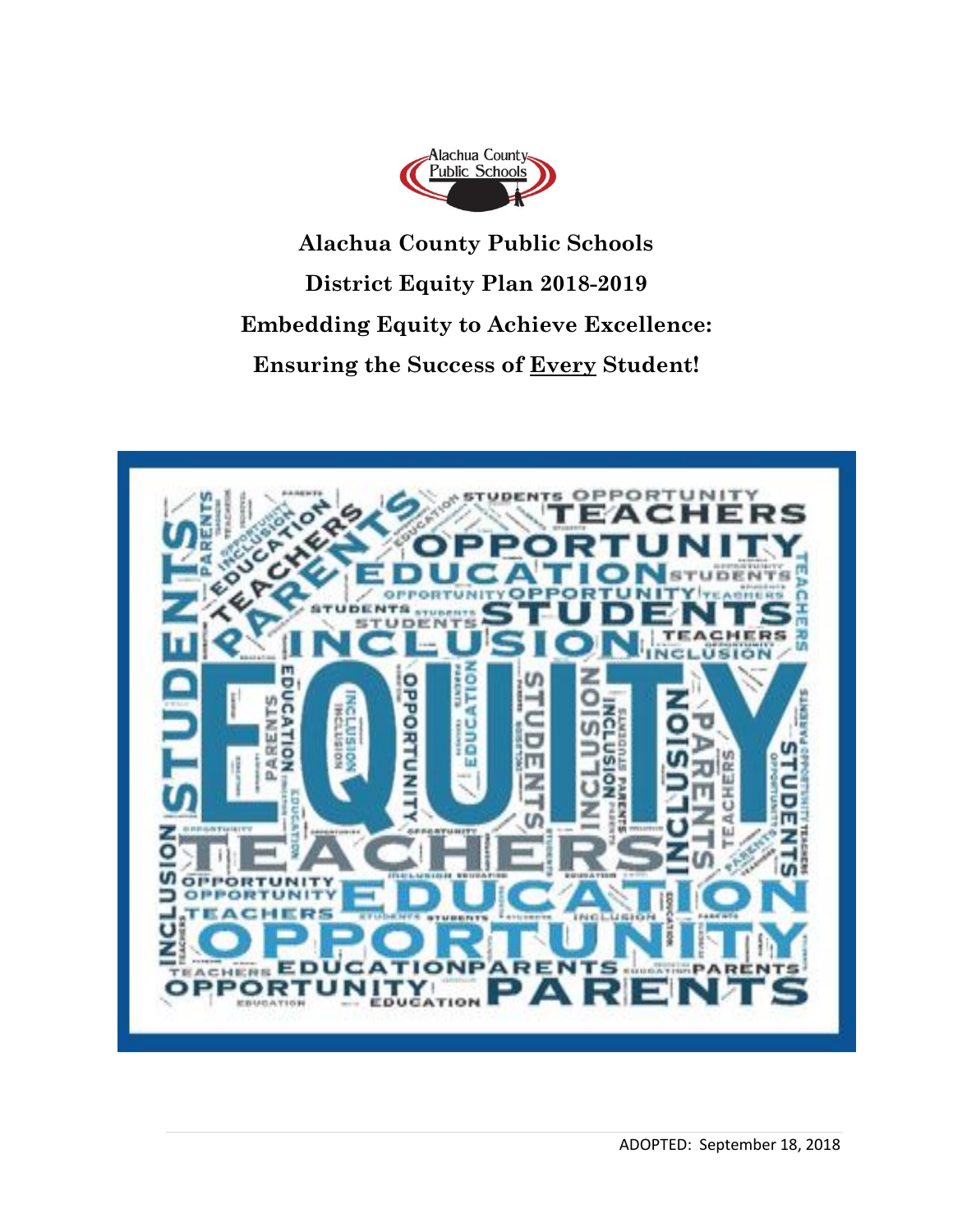

**Alachua County Public Schools District Equity Plan 2018-2019 Embedding Equity to Achieve Excellence: Ensuring the Success of Every Student!**

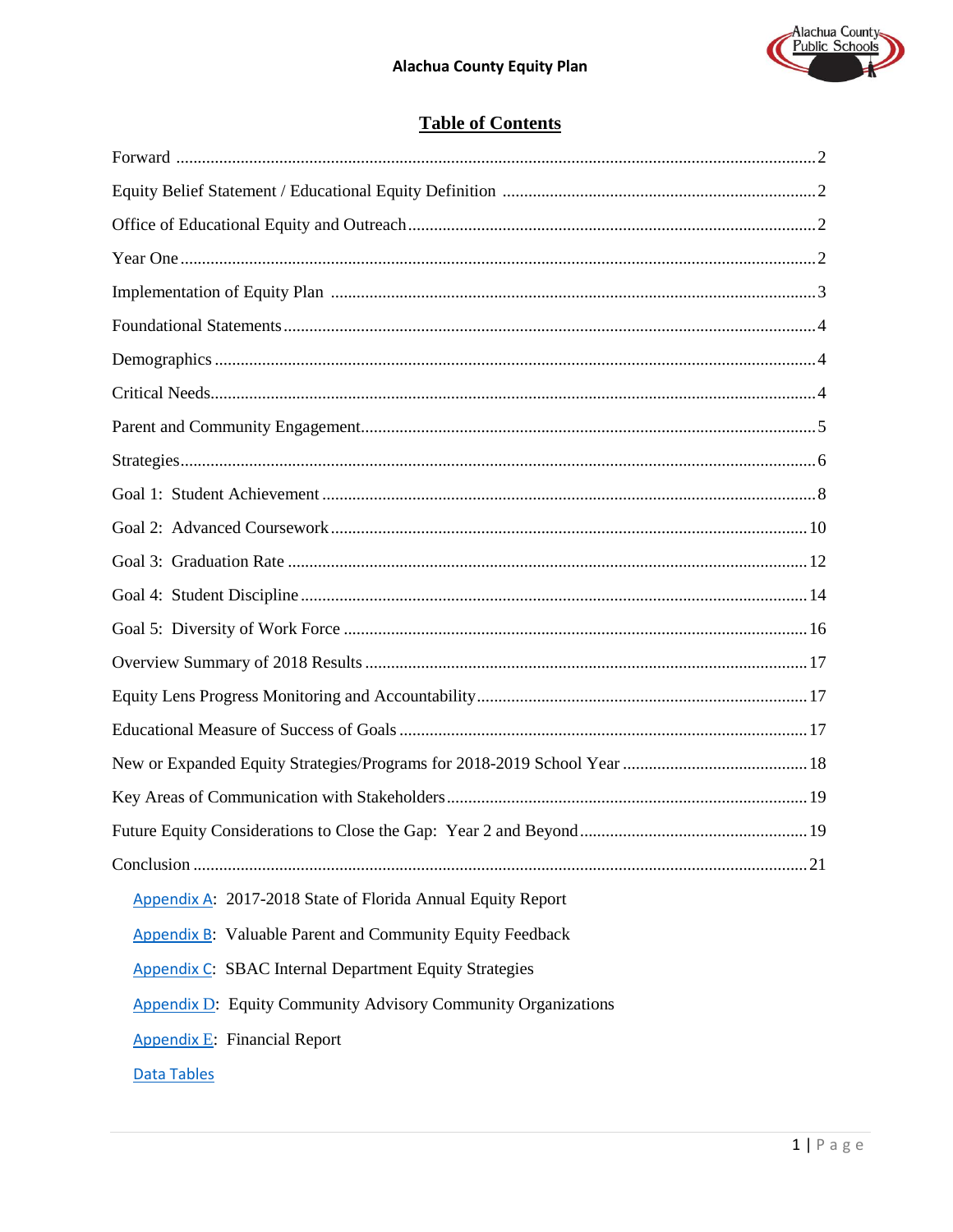

# **Table of Contents**

| Appendix A: 2017-2018 State of Florida Annual Equity Report          |
|----------------------------------------------------------------------|
| <b>Appendix B:</b> Valuable Parent and Community Equity Feedback     |
| <b>Appendix C: SBAC Internal Department Equity Strategies</b>        |
| <b>Appendix D: Equity Community Advisory Community Organizations</b> |
| <b>Appendix E:</b> Financial Report                                  |
| Data Tables                                                          |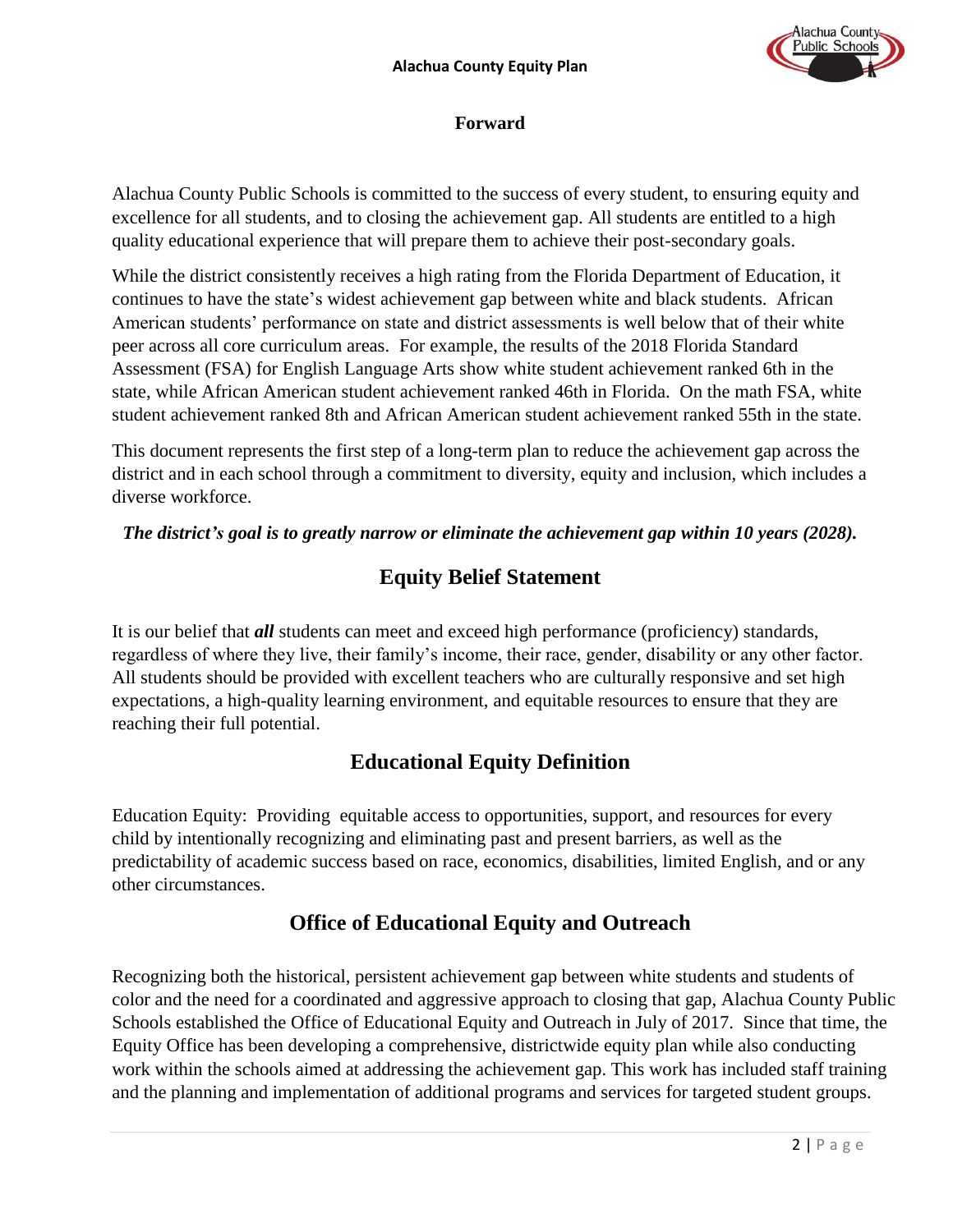

### **Forward**

Alachua County Public Schools is committed to the success of every student, to ensuring equity and excellence for all students, and to closing the achievement gap. All students are entitled to a high quality educational experience that will prepare them to achieve their post-secondary goals.

While the district consistently receives a high rating from the Florida Department of Education, it continues to have the state's widest achievement gap between white and black students. African American students' performance on state and district assessments is well below that of their white peer across all core curriculum areas. For example, the results of the 2018 Florida Standard Assessment (FSA) for English Language Arts show white student achievement ranked 6th in the state, while African American student achievement ranked 46th in Florida. On the math FSA, white student achievement ranked 8th and African American student achievement ranked 55th in the state.

This document represents the first step of a long-term plan to reduce the achievement gap across the district and in each school through a commitment to diversity, equity and inclusion, which includes a diverse workforce.

*The district's goal is to greatly narrow or eliminate the achievement gap within 10 years (2028).*

## **Equity Belief Statement**

It is our belief that *all* students can meet and exceed high performance (proficiency) standards, regardless of where they live, their family's income, their race, gender, disability or any other factor. All students should be provided with excellent teachers who are culturally responsive and set high expectations, a high-quality learning environment, and equitable resources to ensure that they are reaching their full potential.

## **Educational Equity Definition**

Education Equity: Providing equitable access to opportunities, support, and resources for every child by intentionally recognizing and eliminating past and present barriers, as well as the predictability of academic success based on race, economics, disabilities, limited English, and or any other circumstances.

# **Office of Educational Equity and Outreach**

Recognizing both the historical, persistent achievement gap between white students and students of color and the need for a coordinated and aggressive approach to closing that gap, Alachua County Public Schools established the Office of Educational Equity and Outreach in July of 2017. Since that time, the Equity Office has been developing a comprehensive, districtwide equity plan while also conducting work within the schools aimed at addressing the achievement gap. This work has included staff training and the planning and implementation of additional programs and services for targeted student groups.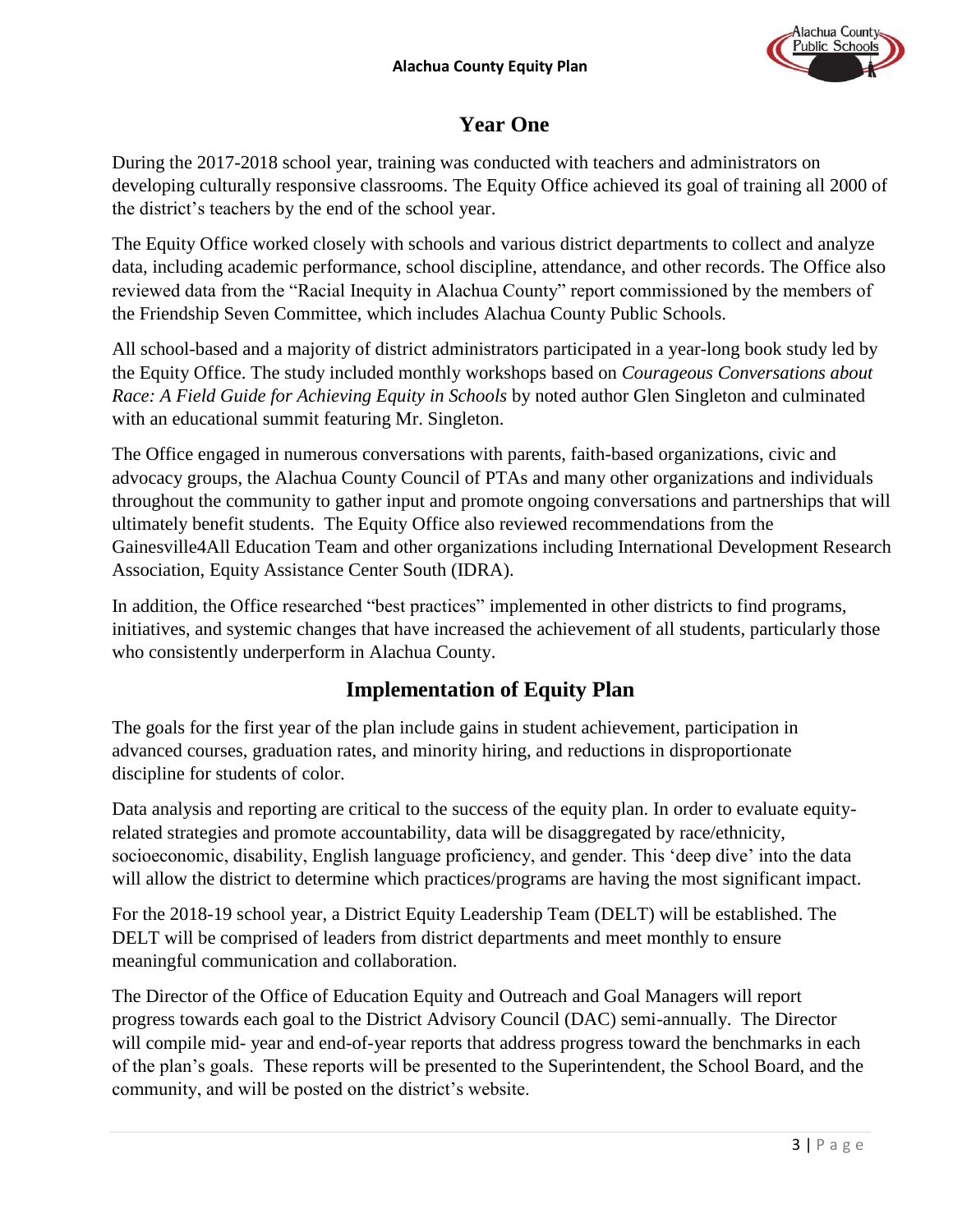

# **Year One**

During the 2017-2018 school year, training was conducted with teachers and administrators on developing culturally responsive classrooms. The Equity Office achieved its goal of training all 2000 of the district's teachers by the end of the school year.

The Equity Office worked closely with schools and various district departments to collect and analyze data, including academic performance, school discipline, attendance, and other records. The Office also reviewed data from the "Racial Inequity in Alachua County" report commissioned by the members of the Friendship Seven Committee, which includes Alachua County Public Schools.

All school-based and a majority of district administrators participated in a year-long book study led by the Equity Office. The study included monthly workshops based on *Courageous Conversations about Race: A Field Guide for Achieving Equity in Schools* by noted author Glen Singleton and culminated with an educational summit featuring Mr. Singleton.

The Office engaged in numerous conversations with parents, faith-based organizations, civic and advocacy groups, the Alachua County Council of PTAs and many other organizations and individuals throughout the community to gather input and promote ongoing conversations and partnerships that will ultimately benefit students. The Equity Office also reviewed recommendations from the Gainesville4All Education Team and other organizations including International Development Research Association, Equity Assistance Center South (IDRA).

In addition, the Office researched "best practices" implemented in other districts to find programs, initiatives, and systemic changes that have increased the achievement of all students, particularly those who consistently underperform in Alachua County.

# **Implementation of Equity Plan**

The goals for the first year of the plan include gains in student achievement, participation in advanced courses, graduation rates, and minority hiring, and reductions in disproportionate discipline for students of color.

Data analysis and reporting are critical to the success of the equity plan. In order to evaluate equityrelated strategies and promote accountability, data will be disaggregated by race/ethnicity, socioeconomic, disability, English language proficiency, and gender. This 'deep dive' into the data will allow the district to determine which practices/programs are having the most significant impact.

For the 2018-19 school year, a District Equity Leadership Team (DELT) will be established. The DELT will be comprised of leaders from district departments and meet monthly to ensure meaningful communication and collaboration.

The Director of the Office of Education Equity and Outreach and Goal Managers will report progress towards each goal to the District Advisory Council (DAC) semi-annually. The Director will compile mid- year and end-of-year reports that address progress toward the benchmarks in each of the plan's goals. These reports will be presented to the Superintendent, the School Board, and the community, and will be posted on the district's website.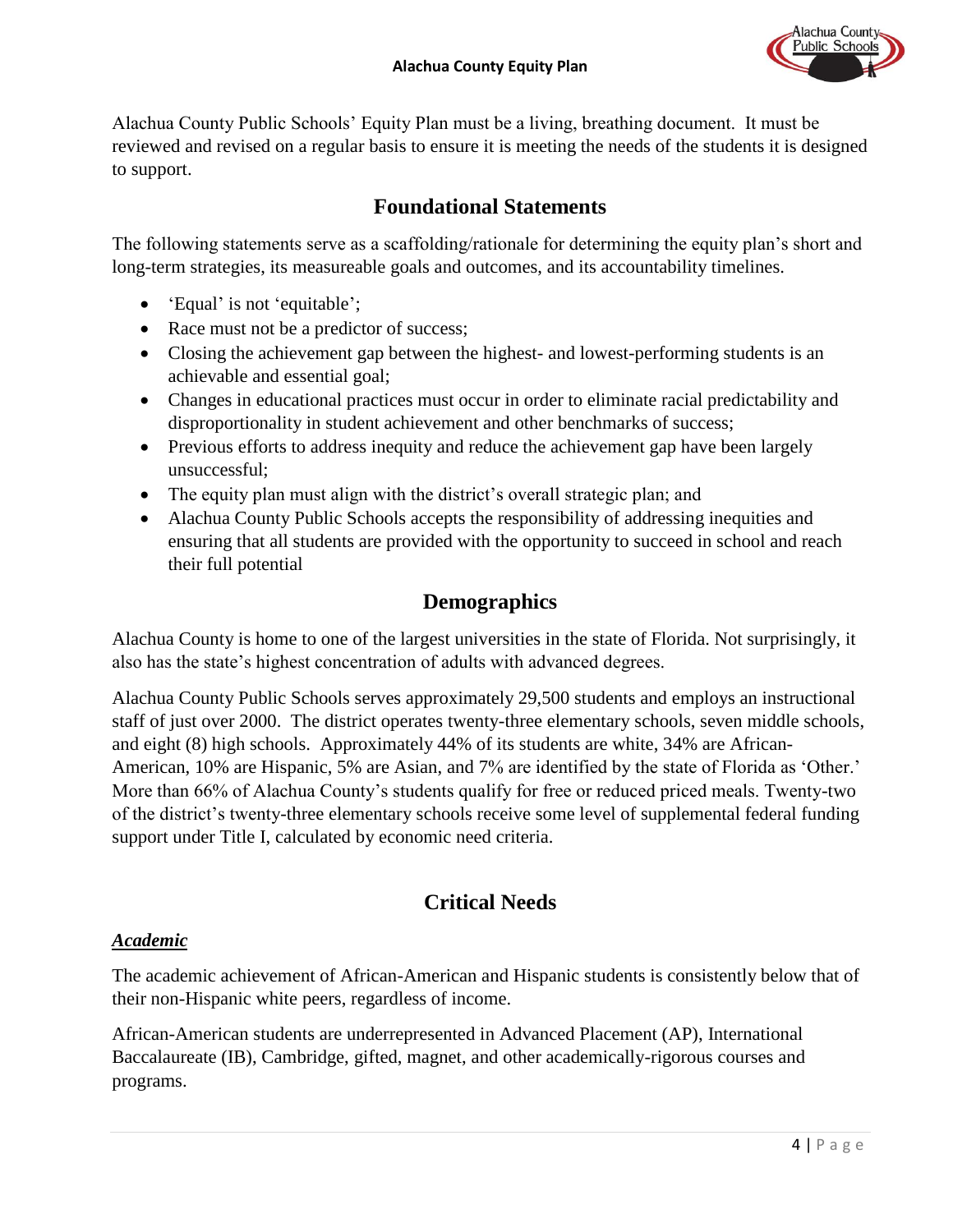

Alachua County Public Schools' Equity Plan must be a living, breathing document. It must be reviewed and revised on a regular basis to ensure it is meeting the needs of the students it is designed to support.

## **Foundational Statements**

The following statements serve as a scaffolding/rationale for determining the equity plan's short and long-term strategies, its measureable goals and outcomes, and its accountability timelines.

- 'Equal' is not 'equitable';
- Race must not be a predictor of success;
- Closing the achievement gap between the highest- and lowest-performing students is an achievable and essential goal;
- Changes in educational practices must occur in order to eliminate racial predictability and disproportionality in student achievement and other benchmarks of success;
- Previous efforts to address inequity and reduce the achievement gap have been largely unsuccessful;
- The equity plan must align with the district's overall strategic plan; and
- Alachua County Public Schools accepts the responsibility of addressing inequities and ensuring that all students are provided with the opportunity to succeed in school and reach their full potential

## **Demographics**

Alachua County is home to one of the largest universities in the state of Florida. Not surprisingly, it also has the state's highest concentration of adults with advanced degrees.

Alachua County Public Schools serves approximately 29,500 students and employs an instructional staff of just over 2000. The district operates twenty-three elementary schools, seven middle schools, and eight (8) high schools. Approximately 44% of its students are white, 34% are African-American, 10% are Hispanic, 5% are Asian, and 7% are identified by the state of Florida as 'Other.' More than 66% of Alachua County's students qualify for free or reduced priced meals. Twenty-two of the district's twenty-three elementary schools receive some level of supplemental federal funding support under Title I, calculated by economic need criteria.

## **Critical Needs**

### *Academic*

The academic achievement of African-American and Hispanic students is consistently below that of their non-Hispanic white peers, regardless of income.

African-American students are underrepresented in Advanced Placement (AP), International Baccalaureate (IB), Cambridge, gifted, magnet, and other academically-rigorous courses and programs.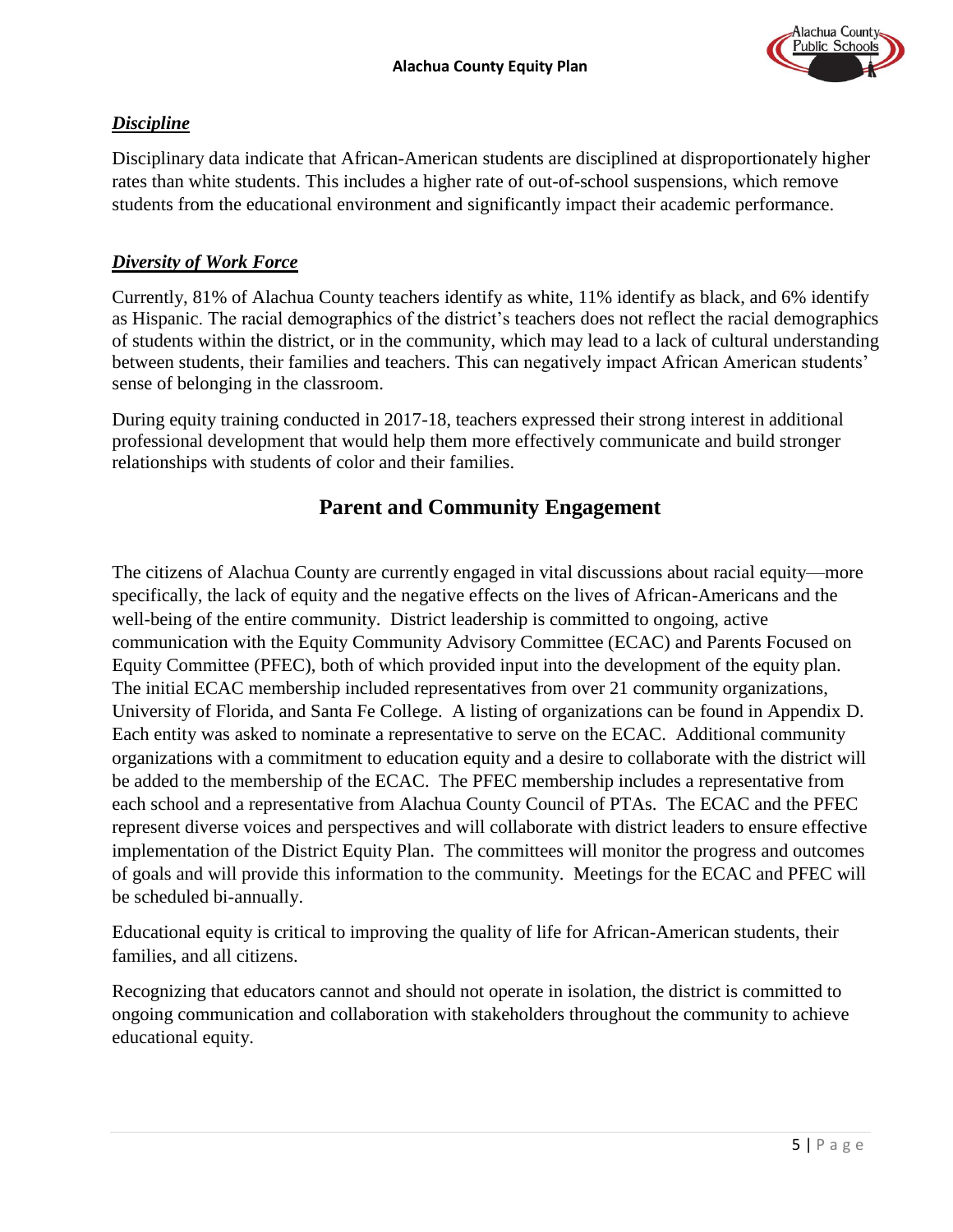

### *Discipline*

Disciplinary data indicate that African-American students are disciplined at disproportionately higher rates than white students. This includes a higher rate of out-of-school suspensions, which remove students from the educational environment and significantly impact their academic performance.

### *Diversity of Work Force*

Currently, 81% of Alachua County teachers identify as white, 11% identify as black, and 6% identify as Hispanic. The racial demographics of the district's teachers does not reflect the racial demographics of students within the district, or in the community, which may lead to a lack of cultural understanding between students, their families and teachers. This can negatively impact African American students' sense of belonging in the classroom.

During equity training conducted in 2017-18, teachers expressed their strong interest in additional professional development that would help them more effectively communicate and build stronger relationships with students of color and their families.

## **Parent and Community Engagement**

The citizens of Alachua County are currently engaged in vital discussions about racial equity—more specifically, the lack of equity and the negative effects on the lives of African-Americans and the well-being of the entire community. District leadership is committed to ongoing, active communication with the Equity Community Advisory Committee (ECAC) and Parents Focused on Equity Committee (PFEC), both of which provided input into the development of the equity plan. The initial ECAC membership included representatives from over 21 community organizations, University of Florida, and Santa Fe College. A listing of organizations can be found in Appendix D. Each entity was asked to nominate a representative to serve on the ECAC. Additional community organizations with a commitment to education equity and a desire to collaborate with the district will be added to the membership of the ECAC. The PFEC membership includes a representative from each school and a representative from Alachua County Council of PTAs. The ECAC and the PFEC represent diverse voices and perspectives and will collaborate with district leaders to ensure effective implementation of the District Equity Plan. The committees will monitor the progress and outcomes of goals and will provide this information to the community. Meetings for the ECAC and PFEC will be scheduled bi-annually.

Educational equity is critical to improving the quality of life for African-American students, their families, and all citizens.

Recognizing that educators cannot and should not operate in isolation, the district is committed to ongoing communication and collaboration with stakeholders throughout the community to achieve educational equity.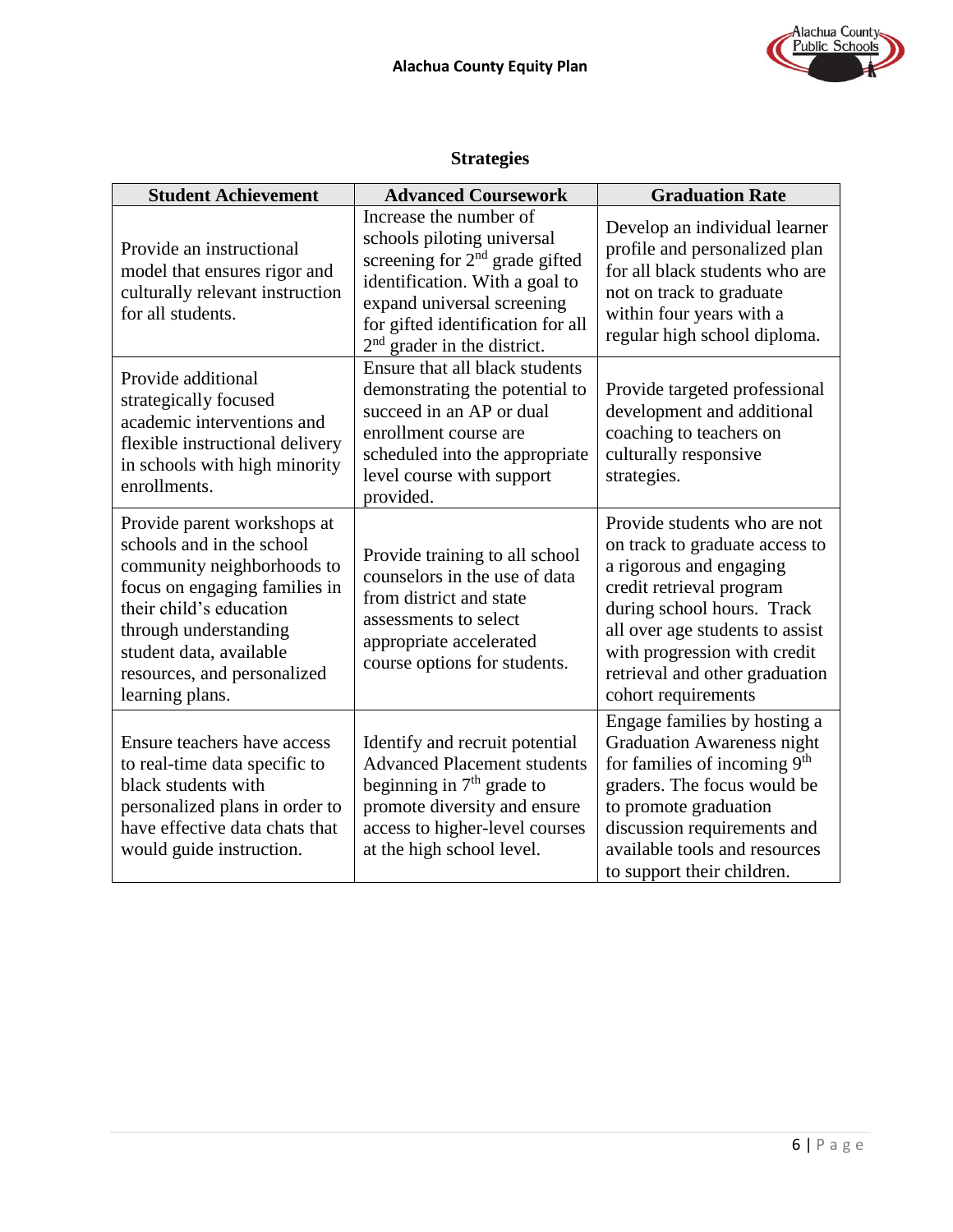

# **Strategies**

| <b>Student Achievement</b>                                                                                                                                                                                                                               | <b>Advanced Coursework</b>                                                                                                                                                                                                     | <b>Graduation Rate</b>                                                                                                                                                                                                                                                          |
|----------------------------------------------------------------------------------------------------------------------------------------------------------------------------------------------------------------------------------------------------------|--------------------------------------------------------------------------------------------------------------------------------------------------------------------------------------------------------------------------------|---------------------------------------------------------------------------------------------------------------------------------------------------------------------------------------------------------------------------------------------------------------------------------|
| Provide an instructional<br>model that ensures rigor and<br>culturally relevant instruction<br>for all students.                                                                                                                                         | Increase the number of<br>schools piloting universal<br>screening for $2nd$ grade gifted<br>identification. With a goal to<br>expand universal screening<br>for gifted identification for all<br>$2nd$ grader in the district. | Develop an individual learner<br>profile and personalized plan<br>for all black students who are<br>not on track to graduate<br>within four years with a<br>regular high school diploma.                                                                                        |
| Provide additional<br>strategically focused<br>academic interventions and<br>flexible instructional delivery<br>in schools with high minority<br>enrollments.                                                                                            | Ensure that all black students<br>demonstrating the potential to<br>succeed in an AP or dual<br>enrollment course are<br>scheduled into the appropriate<br>level course with support<br>provided.                              | Provide targeted professional<br>development and additional<br>coaching to teachers on<br>culturally responsive<br>strategies.                                                                                                                                                  |
| Provide parent workshops at<br>schools and in the school<br>community neighborhoods to<br>focus on engaging families in<br>their child's education<br>through understanding<br>student data, available<br>resources, and personalized<br>learning plans. | Provide training to all school<br>counselors in the use of data<br>from district and state<br>assessments to select<br>appropriate accelerated<br>course options for students.                                                 | Provide students who are not<br>on track to graduate access to<br>a rigorous and engaging<br>credit retrieval program<br>during school hours. Track<br>all over age students to assist<br>with progression with credit<br>retrieval and other graduation<br>cohort requirements |
| Ensure teachers have access<br>to real-time data specific to<br>black students with<br>personalized plans in order to<br>have effective data chats that<br>would guide instruction.                                                                      | Identify and recruit potential<br><b>Advanced Placement students</b><br>beginning in $7th$ grade to<br>promote diversity and ensure<br>access to higher-level courses<br>at the high school level.                             | Engage families by hosting a<br><b>Graduation Awareness night</b><br>for families of incoming 9 <sup>th</sup><br>graders. The focus would be<br>to promote graduation<br>discussion requirements and<br>available tools and resources<br>to support their children.             |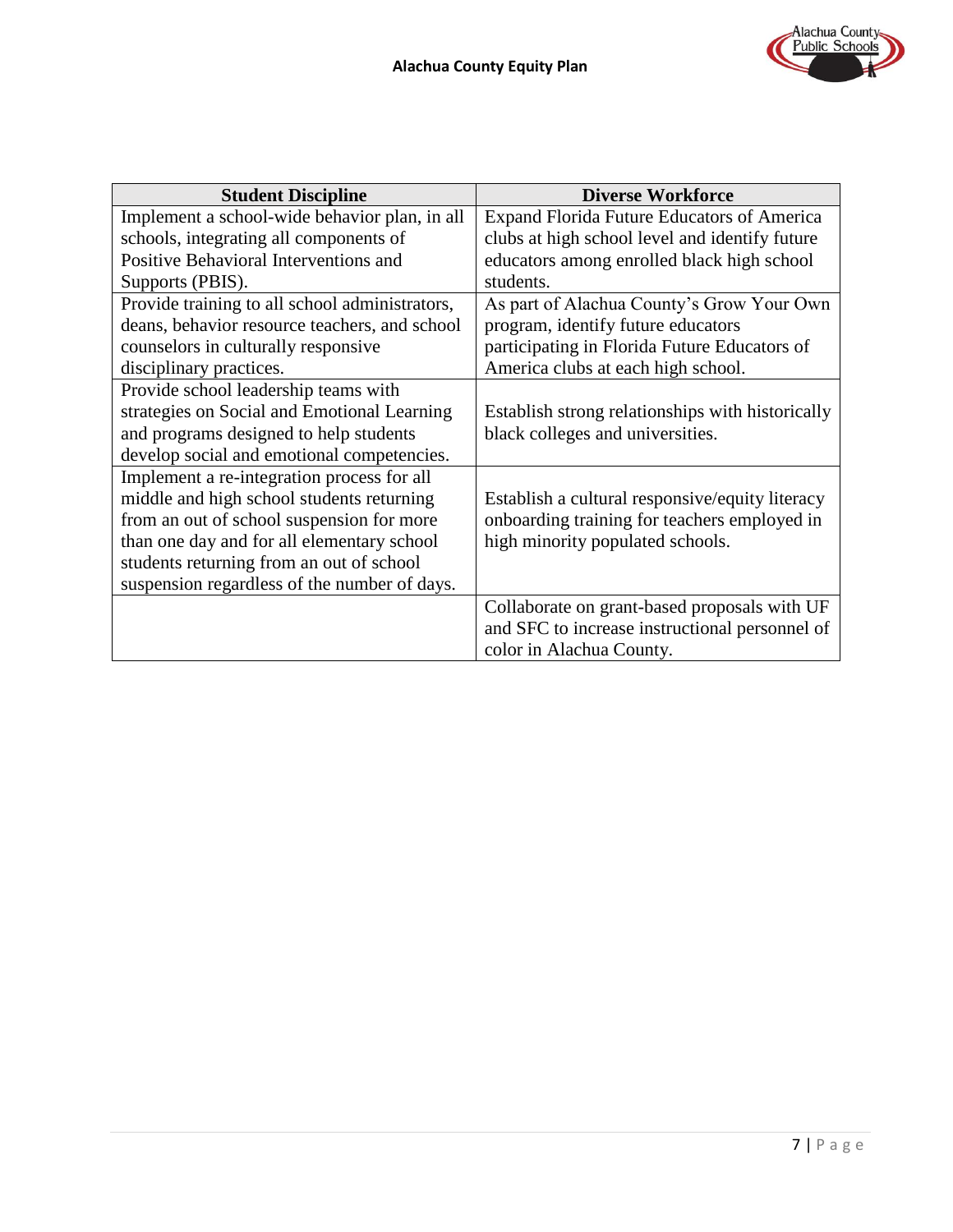| <b>Student Discipline</b>                      | <b>Diverse Workforce</b>                         |
|------------------------------------------------|--------------------------------------------------|
| Implement a school-wide behavior plan, in all  | Expand Florida Future Educators of America       |
| schools, integrating all components of         | clubs at high school level and identify future   |
| Positive Behavioral Interventions and          | educators among enrolled black high school       |
| Supports (PBIS).                               | students.                                        |
| Provide training to all school administrators, | As part of Alachua County's Grow Your Own        |
| deans, behavior resource teachers, and school  | program, identify future educators               |
| counselors in culturally responsive            | participating in Florida Future Educators of     |
| disciplinary practices.                        | America clubs at each high school.               |
| Provide school leadership teams with           |                                                  |
| strategies on Social and Emotional Learning    | Establish strong relationships with historically |
| and programs designed to help students         | black colleges and universities.                 |
| develop social and emotional competencies.     |                                                  |
| Implement a re-integration process for all     |                                                  |
| middle and high school students returning      | Establish a cultural responsive/equity literacy  |
| from an out of school suspension for more      | onboarding training for teachers employed in     |
| than one day and for all elementary school     | high minority populated schools.                 |
| students returning from an out of school       |                                                  |
| suspension regardless of the number of days.   |                                                  |
|                                                | Collaborate on grant-based proposals with UF     |
|                                                | and SFC to increase instructional personnel of   |
|                                                | color in Alachua County.                         |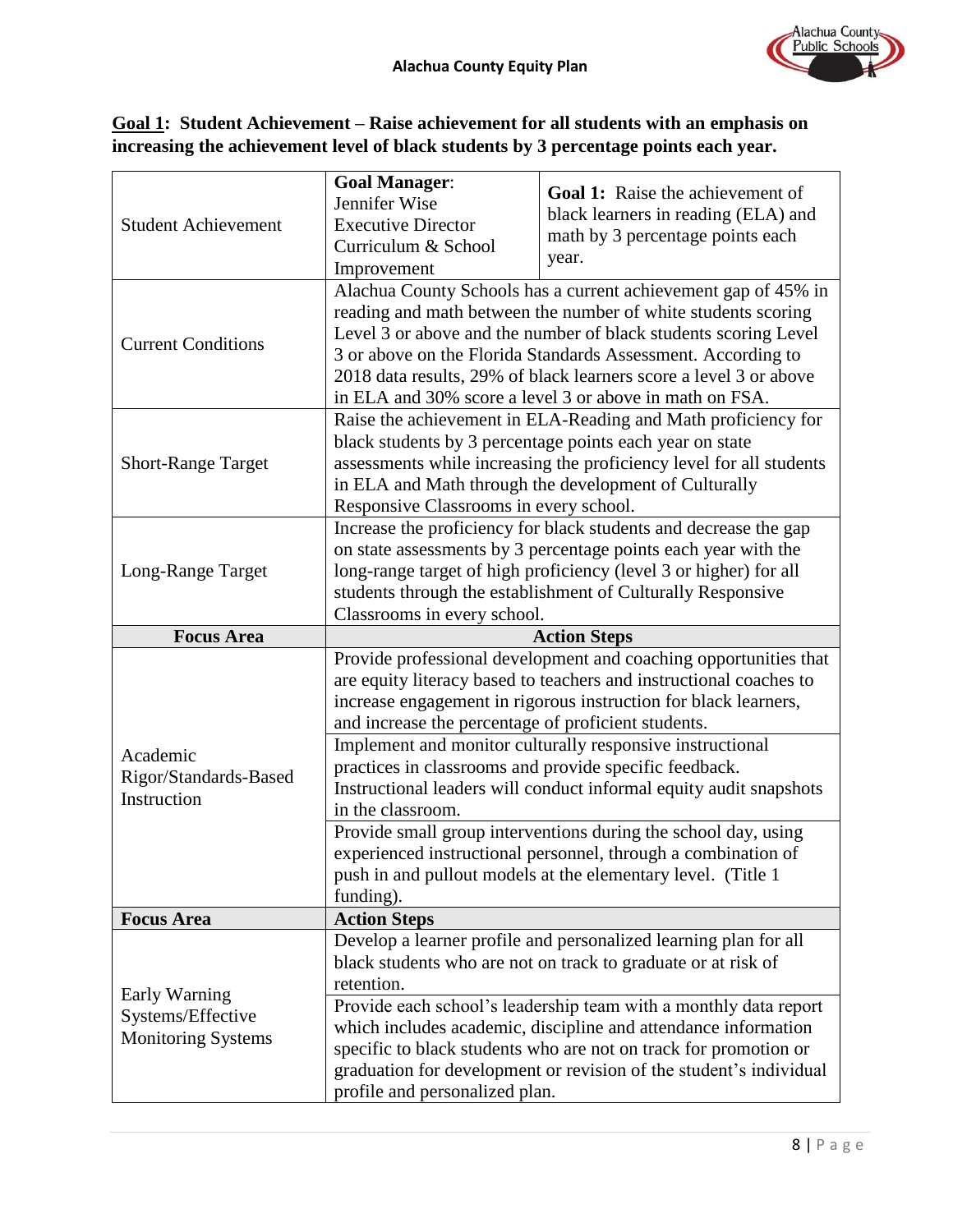

## **Goal 1: Student Achievement – Raise achievement for all students with an emphasis on increasing the achievement level of black students by 3 percentage points each year.**

| <b>Student Achievement</b>                       | <b>Goal Manager:</b><br>Jennifer Wise<br><b>Executive Director</b><br>Curriculum & School<br>Improvement                                                                                                                                                                                                                                                                                           | Goal 1: Raise the achievement of<br>black learners in reading (ELA) and<br>math by 3 percentage points each<br>year.                                                                                                                                                                                                                         |  |
|--------------------------------------------------|----------------------------------------------------------------------------------------------------------------------------------------------------------------------------------------------------------------------------------------------------------------------------------------------------------------------------------------------------------------------------------------------------|----------------------------------------------------------------------------------------------------------------------------------------------------------------------------------------------------------------------------------------------------------------------------------------------------------------------------------------------|--|
| <b>Current Conditions</b>                        | Alachua County Schools has a current achievement gap of 45% in<br>reading and math between the number of white students scoring<br>Level 3 or above and the number of black students scoring Level<br>3 or above on the Florida Standards Assessment. According to<br>2018 data results, 29% of black learners score a level 3 or above<br>in ELA and 30% score a level 3 or above in math on FSA. |                                                                                                                                                                                                                                                                                                                                              |  |
| <b>Short-Range Target</b>                        | Raise the achievement in ELA-Reading and Math proficiency for<br>black students by 3 percentage points each year on state<br>assessments while increasing the proficiency level for all students<br>in ELA and Math through the development of Culturally<br>Responsive Classrooms in every school.                                                                                                |                                                                                                                                                                                                                                                                                                                                              |  |
| Long-Range Target                                | Increase the proficiency for black students and decrease the gap<br>on state assessments by 3 percentage points each year with the<br>long-range target of high proficiency (level 3 or higher) for all<br>students through the establishment of Culturally Responsive<br>Classrooms in every school.                                                                                              |                                                                                                                                                                                                                                                                                                                                              |  |
| <b>Focus Area</b>                                |                                                                                                                                                                                                                                                                                                                                                                                                    | <b>Action Steps</b>                                                                                                                                                                                                                                                                                                                          |  |
| Academic<br>Rigor/Standards-Based<br>Instruction | and increase the percentage of proficient students.<br>practices in classrooms and provide specific feedback.<br>in the classroom.                                                                                                                                                                                                                                                                 | Provide professional development and coaching opportunities that<br>are equity literacy based to teachers and instructional coaches to<br>increase engagement in rigorous instruction for black learners,<br>Implement and monitor culturally responsive instructional<br>Instructional leaders will conduct informal equity audit snapshots |  |
|                                                  | Provide small group interventions during the school day, using<br>experienced instructional personnel, through a combination of<br>push in and pullout models at the elementary level. (Title 1<br>funding).                                                                                                                                                                                       |                                                                                                                                                                                                                                                                                                                                              |  |
| <b>Focus Area</b>                                | <b>Action Steps</b>                                                                                                                                                                                                                                                                                                                                                                                |                                                                                                                                                                                                                                                                                                                                              |  |
| Early Warning                                    | retention.                                                                                                                                                                                                                                                                                                                                                                                         | Develop a learner profile and personalized learning plan for all<br>black students who are not on track to graduate or at risk of                                                                                                                                                                                                            |  |
| Systems/Effective<br><b>Monitoring Systems</b>   | profile and personalized plan.                                                                                                                                                                                                                                                                                                                                                                     | Provide each school's leadership team with a monthly data report<br>which includes academic, discipline and attendance information<br>specific to black students who are not on track for promotion or<br>graduation for development or revision of the student's individual                                                                 |  |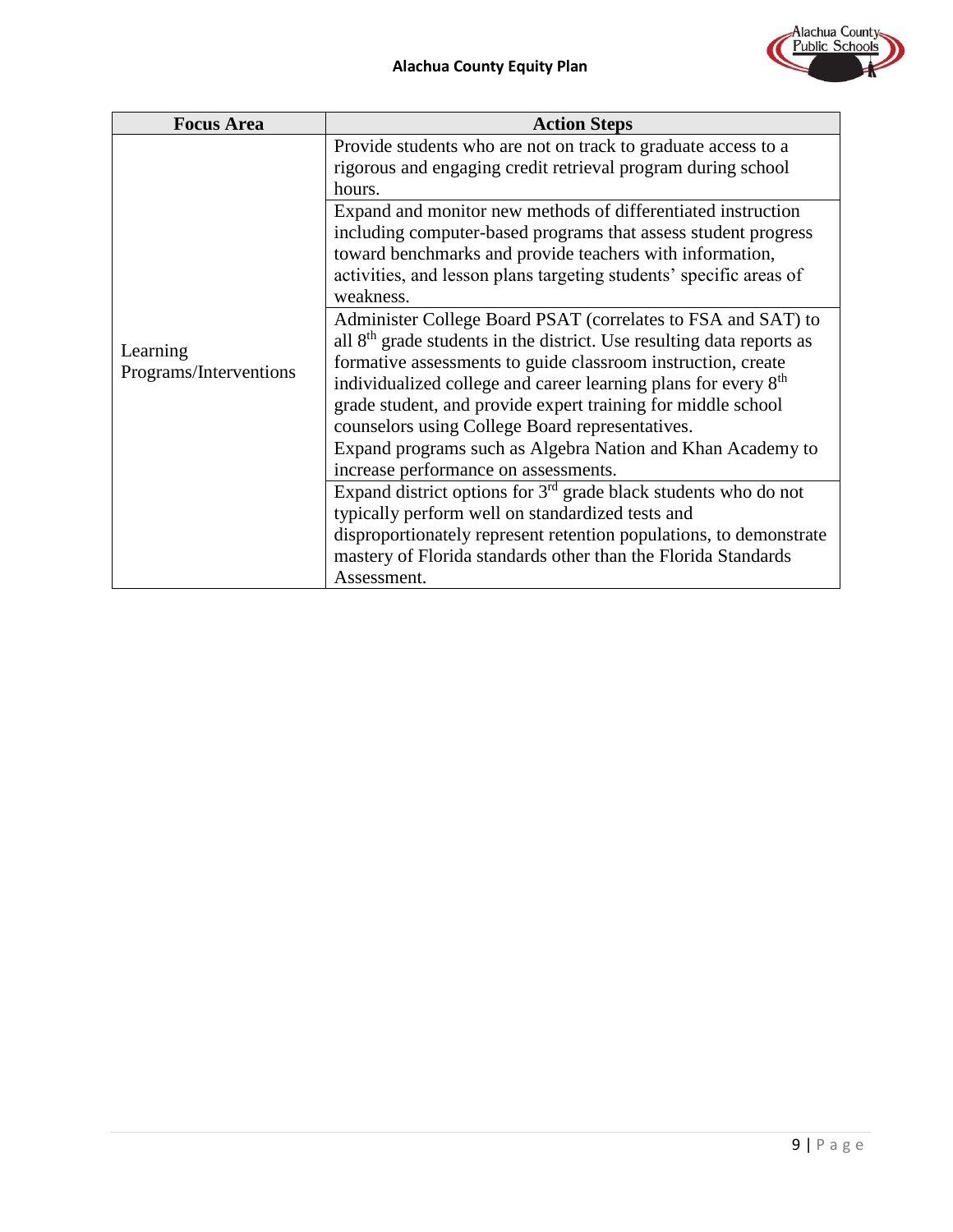

| <b>Focus Area</b>                  | <b>Action Steps</b>                                                                                                                                                                                                                                                                                                                                                                                                                                                                                                      |  |  |
|------------------------------------|--------------------------------------------------------------------------------------------------------------------------------------------------------------------------------------------------------------------------------------------------------------------------------------------------------------------------------------------------------------------------------------------------------------------------------------------------------------------------------------------------------------------------|--|--|
|                                    | Provide students who are not on track to graduate access to a<br>rigorous and engaging credit retrieval program during school<br>hours.                                                                                                                                                                                                                                                                                                                                                                                  |  |  |
|                                    | Expand and monitor new methods of differentiated instruction<br>including computer-based programs that assess student progress<br>toward benchmarks and provide teachers with information,<br>activities, and lesson plans targeting students' specific areas of<br>weakness.                                                                                                                                                                                                                                            |  |  |
| Learning<br>Programs/Interventions | Administer College Board PSAT (correlates to FSA and SAT) to<br>all 8 <sup>th</sup> grade students in the district. Use resulting data reports as<br>formative assessments to guide classroom instruction, create<br>individualized college and career learning plans for every 8 <sup>th</sup><br>grade student, and provide expert training for middle school<br>counselors using College Board representatives.<br>Expand programs such as Algebra Nation and Khan Academy to<br>increase performance on assessments. |  |  |
|                                    | Expand district options for $3rd$ grade black students who do not<br>typically perform well on standardized tests and<br>disproportionately represent retention populations, to demonstrate<br>mastery of Florida standards other than the Florida Standards<br>Assessment.                                                                                                                                                                                                                                              |  |  |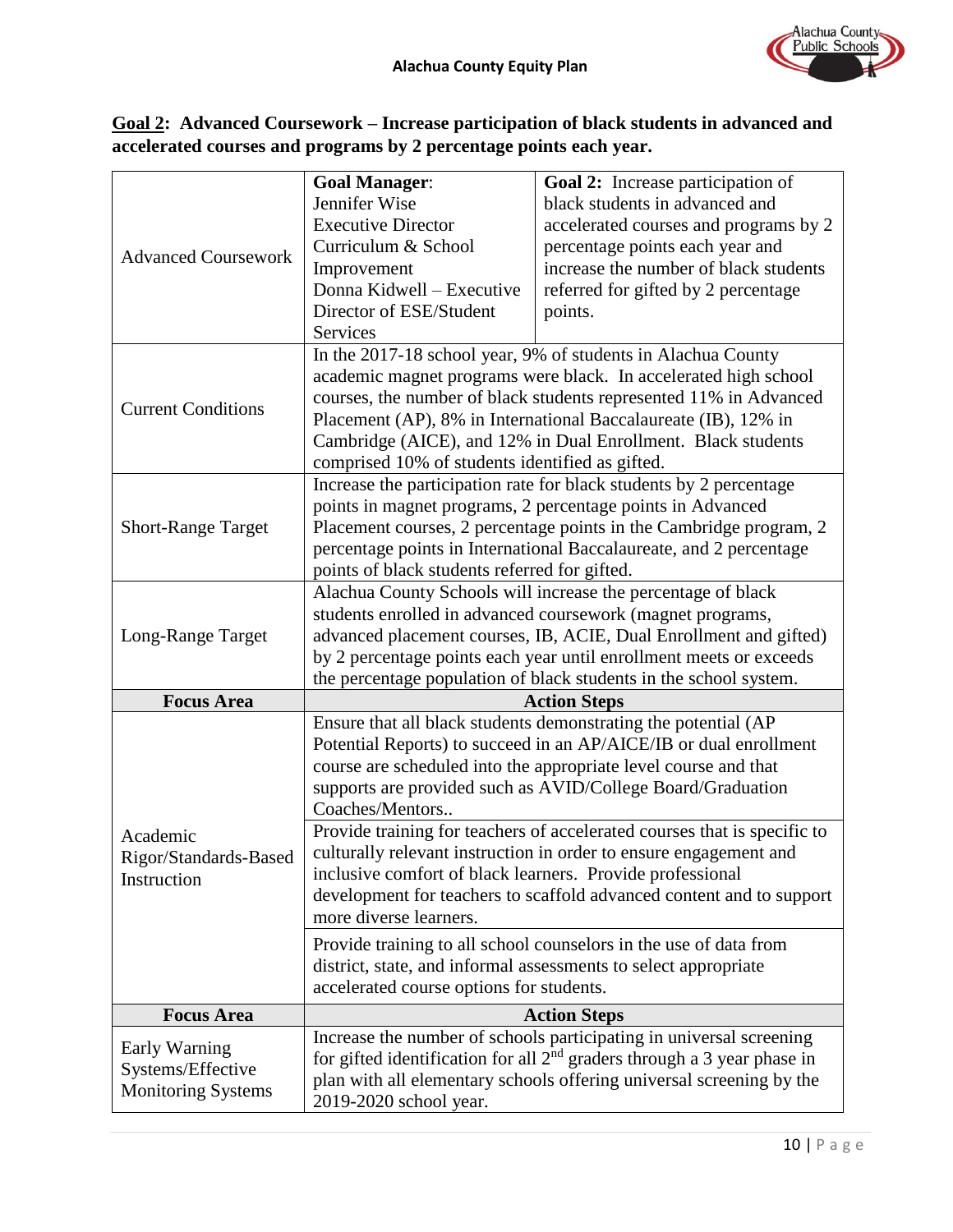

|                            | <b>Goal Manager:</b>                                                     | <b>Goal 2:</b> Increase participation of                                  |  |
|----------------------------|--------------------------------------------------------------------------|---------------------------------------------------------------------------|--|
|                            | Jennifer Wise                                                            | black students in advanced and                                            |  |
|                            | <b>Executive Director</b>                                                | accelerated courses and programs by 2                                     |  |
| <b>Advanced Coursework</b> | Curriculum & School                                                      | percentage points each year and                                           |  |
|                            | Improvement                                                              | increase the number of black students                                     |  |
|                            | Donna Kidwell - Executive                                                | referred for gifted by 2 percentage                                       |  |
|                            | Director of ESE/Student                                                  | points.                                                                   |  |
|                            | Services                                                                 |                                                                           |  |
|                            | In the 2017-18 school year, 9% of students in Alachua County             |                                                                           |  |
|                            | academic magnet programs were black. In accelerated high school          |                                                                           |  |
| <b>Current Conditions</b>  | courses, the number of black students represented 11% in Advanced        |                                                                           |  |
|                            |                                                                          | Placement (AP), 8% in International Baccalaureate (IB), 12% in            |  |
|                            |                                                                          | Cambridge (AICE), and 12% in Dual Enrollment. Black students              |  |
|                            | comprised 10% of students identified as gifted.                          |                                                                           |  |
|                            |                                                                          | Increase the participation rate for black students by 2 percentage        |  |
|                            |                                                                          | points in magnet programs, 2 percentage points in Advanced                |  |
| <b>Short-Range Target</b>  |                                                                          | Placement courses, 2 percentage points in the Cambridge program, 2        |  |
|                            | percentage points in International Baccalaureate, and 2 percentage       |                                                                           |  |
|                            | points of black students referred for gifted.                            |                                                                           |  |
|                            | Alachua County Schools will increase the percentage of black             |                                                                           |  |
|                            | students enrolled in advanced coursework (magnet programs,               |                                                                           |  |
| Long-Range Target          | advanced placement courses, IB, ACIE, Dual Enrollment and gifted)        |                                                                           |  |
|                            | by 2 percentage points each year until enrollment meets or exceeds       |                                                                           |  |
|                            | the percentage population of black students in the school system.        |                                                                           |  |
| <b>Focus Area</b>          | <b>Action Steps</b>                                                      |                                                                           |  |
|                            |                                                                          | Ensure that all black students demonstrating the potential (AP            |  |
|                            |                                                                          | Potential Reports) to succeed in an AP/AICE/IB or dual enrollment         |  |
|                            | course are scheduled into the appropriate level course and that          |                                                                           |  |
|                            | supports are provided such as AVID/College Board/Graduation              |                                                                           |  |
|                            | Coaches/Mentors                                                          |                                                                           |  |
| Academic                   | Provide training for teachers of accelerated courses that is specific to |                                                                           |  |
| Rigor/Standards-Based      |                                                                          | culturally relevant instruction in order to ensure engagement and         |  |
| Instruction                | inclusive comfort of black learners. Provide professional                |                                                                           |  |
|                            | development for teachers to scaffold advanced content and to support     |                                                                           |  |
|                            | more diverse learners.                                                   |                                                                           |  |
|                            | Provide training to all school counselors in the use of data from        |                                                                           |  |
|                            | district, state, and informal assessments to select appropriate          |                                                                           |  |
|                            | accelerated course options for students.                                 |                                                                           |  |
| <b>Focus Area</b>          | <b>Action Steps</b>                                                      |                                                                           |  |
|                            |                                                                          | Increase the number of schools participating in universal screening       |  |
| Early Warning              |                                                                          | for gifted identification for all $2nd$ graders through a 3 year phase in |  |
| Systems/Effective          | plan with all elementary schools offering universal screening by the     |                                                                           |  |
| <b>Monitoring Systems</b>  | 2019-2020 school year.                                                   |                                                                           |  |

**Goal 2: Advanced Coursework – Increase participation of black students in advanced and accelerated courses and programs by 2 percentage points each year.**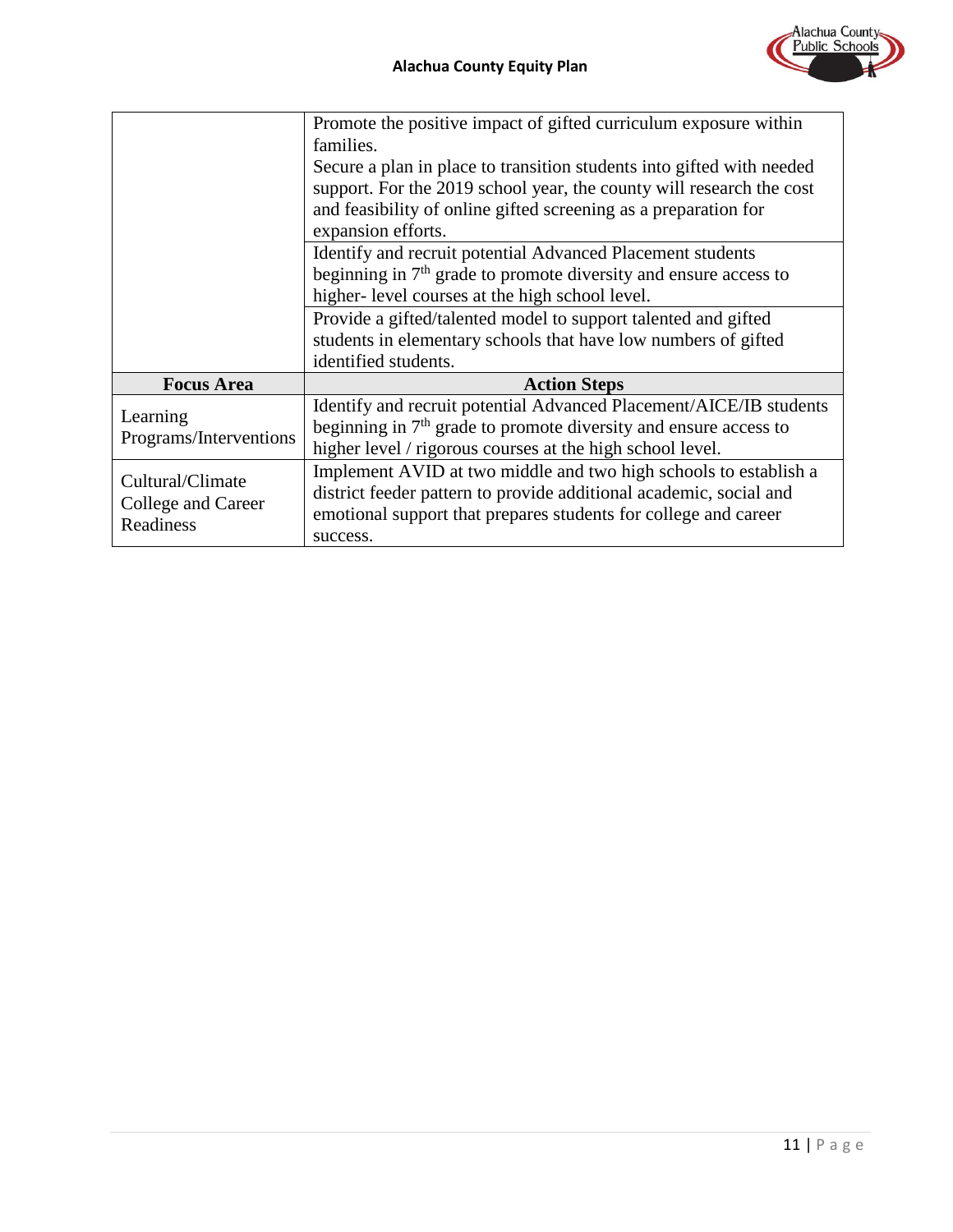

|                                                     | Promote the positive impact of gifted curriculum exposure within<br>families.<br>Secure a plan in place to transition students into gifted with needed<br>support. For the 2019 school year, the county will research the cost<br>and feasibility of online gifted screening as a preparation for<br>expansion efforts. |
|-----------------------------------------------------|-------------------------------------------------------------------------------------------------------------------------------------------------------------------------------------------------------------------------------------------------------------------------------------------------------------------------|
|                                                     | Identify and recruit potential Advanced Placement students<br>beginning in $7th$ grade to promote diversity and ensure access to<br>higher-level courses at the high school level.                                                                                                                                      |
|                                                     | Provide a gifted/talented model to support talented and gifted<br>students in elementary schools that have low numbers of gifted<br>identified students.                                                                                                                                                                |
| <b>Focus Area</b>                                   | <b>Action Steps</b>                                                                                                                                                                                                                                                                                                     |
| Learning<br>Programs/Interventions                  | Identify and recruit potential Advanced Placement/AICE/IB students<br>beginning in $7th$ grade to promote diversity and ensure access to<br>higher level / rigorous courses at the high school level.                                                                                                                   |
| Cultural/Climate<br>College and Career<br>Readiness | Implement AVID at two middle and two high schools to establish a<br>district feeder pattern to provide additional academic, social and<br>emotional support that prepares students for college and career<br>success.                                                                                                   |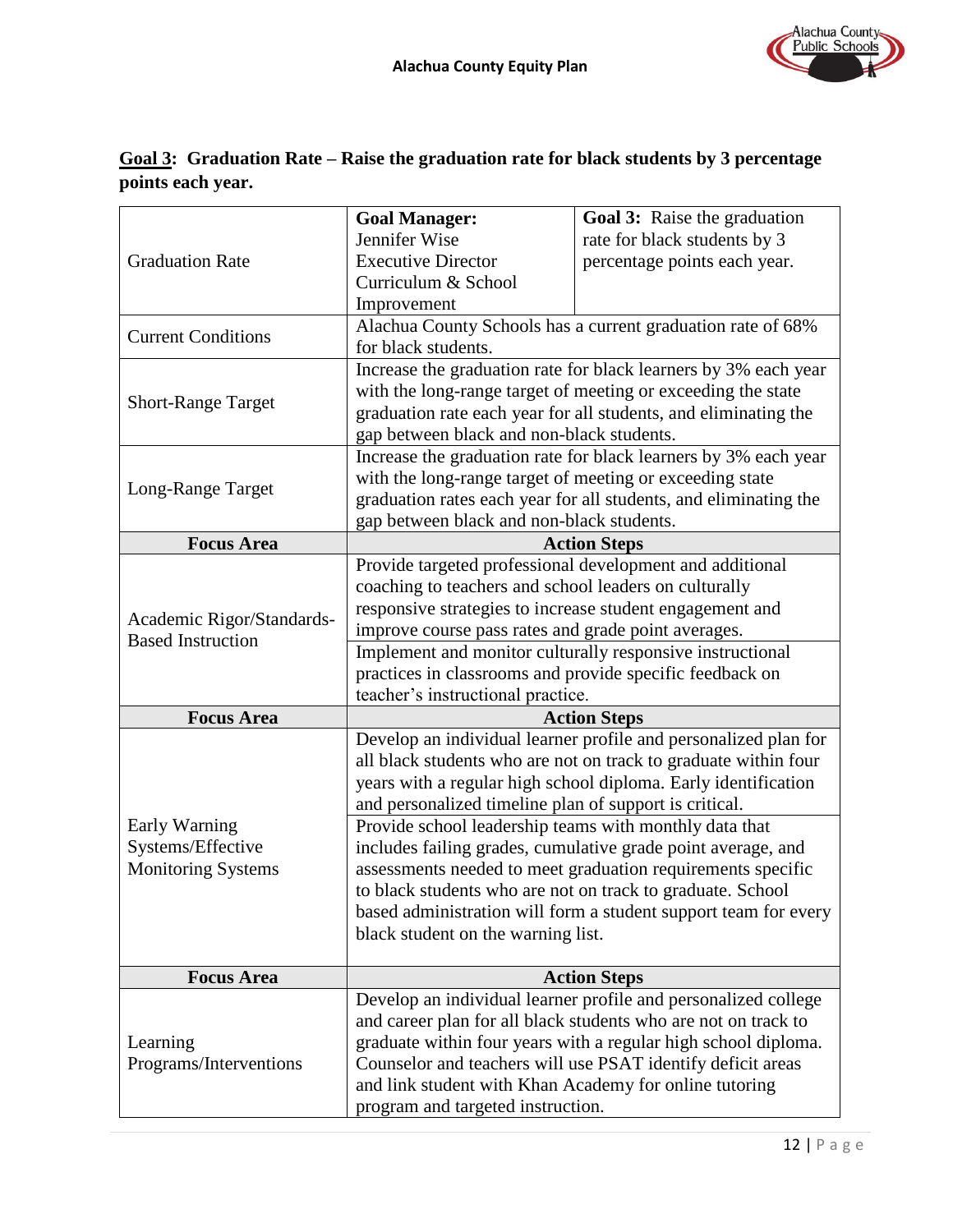|                           | <b>Goal Manager:</b>                                                                        | <b>Goal 3:</b> Raise the graduation                              |  |
|---------------------------|---------------------------------------------------------------------------------------------|------------------------------------------------------------------|--|
|                           | Jennifer Wise                                                                               | rate for black students by 3                                     |  |
| <b>Graduation Rate</b>    | <b>Executive Director</b>                                                                   | percentage points each year.                                     |  |
|                           | Curriculum & School                                                                         |                                                                  |  |
|                           | Improvement                                                                                 |                                                                  |  |
|                           | Alachua County Schools has a current graduation rate of 68%                                 |                                                                  |  |
| <b>Current Conditions</b> | for black students.                                                                         |                                                                  |  |
|                           | Increase the graduation rate for black learners by 3% each year                             |                                                                  |  |
|                           | with the long-range target of meeting or exceeding the state                                |                                                                  |  |
| <b>Short-Range Target</b> | graduation rate each year for all students, and eliminating the                             |                                                                  |  |
|                           | gap between black and non-black students.                                                   |                                                                  |  |
|                           |                                                                                             | Increase the graduation rate for black learners by 3% each year  |  |
|                           | with the long-range target of meeting or exceeding state                                    |                                                                  |  |
| Long-Range Target         |                                                                                             | graduation rates each year for all students, and eliminating the |  |
|                           | gap between black and non-black students.                                                   |                                                                  |  |
| <b>Focus Area</b>         | <b>Action Steps</b>                                                                         |                                                                  |  |
|                           | Provide targeted professional development and additional                                    |                                                                  |  |
|                           | coaching to teachers and school leaders on culturally                                       |                                                                  |  |
|                           | responsive strategies to increase student engagement and                                    |                                                                  |  |
| Academic Rigor/Standards- | improve course pass rates and grade point averages.                                         |                                                                  |  |
| <b>Based Instruction</b>  | Implement and monitor culturally responsive instructional                                   |                                                                  |  |
|                           | practices in classrooms and provide specific feedback on                                    |                                                                  |  |
|                           | teacher's instructional practice.                                                           |                                                                  |  |
| <b>Focus Area</b>         | <b>Action Steps</b>                                                                         |                                                                  |  |
|                           | Develop an individual learner profile and personalized plan for                             |                                                                  |  |
|                           | all black students who are not on track to graduate within four                             |                                                                  |  |
|                           |                                                                                             | years with a regular high school diploma. Early identification   |  |
|                           | and personalized timeline plan of support is critical.                                      |                                                                  |  |
| Early Warning             | Provide school leadership teams with monthly data that                                      |                                                                  |  |
| Systems/Effective         |                                                                                             |                                                                  |  |
| <b>Monitoring Systems</b> | includes failing grades, cumulative grade point average, and                                |                                                                  |  |
|                           |                                                                                             |                                                                  |  |
|                           |                                                                                             | assessments needed to meet graduation requirements specific      |  |
|                           | to black students who are not on track to graduate. School                                  |                                                                  |  |
|                           |                                                                                             | based administration will form a student support team for every  |  |
|                           | black student on the warning list.                                                          |                                                                  |  |
|                           |                                                                                             |                                                                  |  |
| <b>Focus Area</b>         |                                                                                             | <b>Action Steps</b>                                              |  |
|                           |                                                                                             | Develop an individual learner profile and personalized college   |  |
|                           |                                                                                             | and career plan for all black students who are not on track to   |  |
| Learning                  |                                                                                             | graduate within four years with a regular high school diploma.   |  |
| Programs/Interventions    |                                                                                             | Counselor and teachers will use PSAT identify deficit areas      |  |
|                           | and link student with Khan Academy for online tutoring<br>program and targeted instruction. |                                                                  |  |

## **Goal 3: Graduation Rate – Raise the graduation rate for black students by 3 percentage points each year.**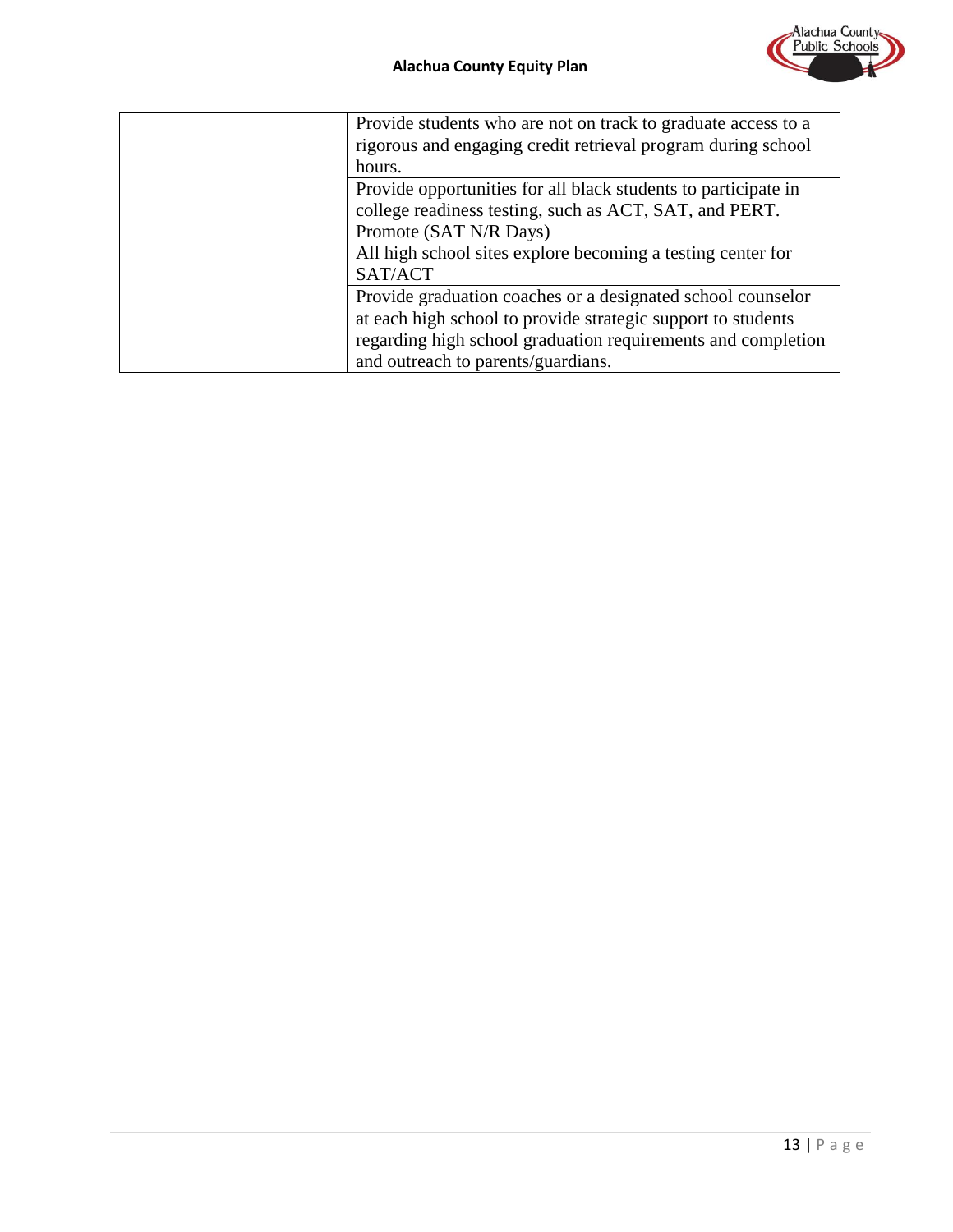

| Provide students who are not on track to graduate access to a<br>rigorous and engaging credit retrieval program during school |
|-------------------------------------------------------------------------------------------------------------------------------|
| hours.                                                                                                                        |
| Provide opportunities for all black students to participate in                                                                |
| college readiness testing, such as ACT, SAT, and PERT.                                                                        |
| Promote (SAT N/R Days)                                                                                                        |
| All high school sites explore becoming a testing center for                                                                   |
| SAT/ACT                                                                                                                       |
| Provide graduation coaches or a designated school counselor                                                                   |
| at each high school to provide strategic support to students                                                                  |
| regarding high school graduation requirements and completion                                                                  |
| and outreach to parents/guardians.                                                                                            |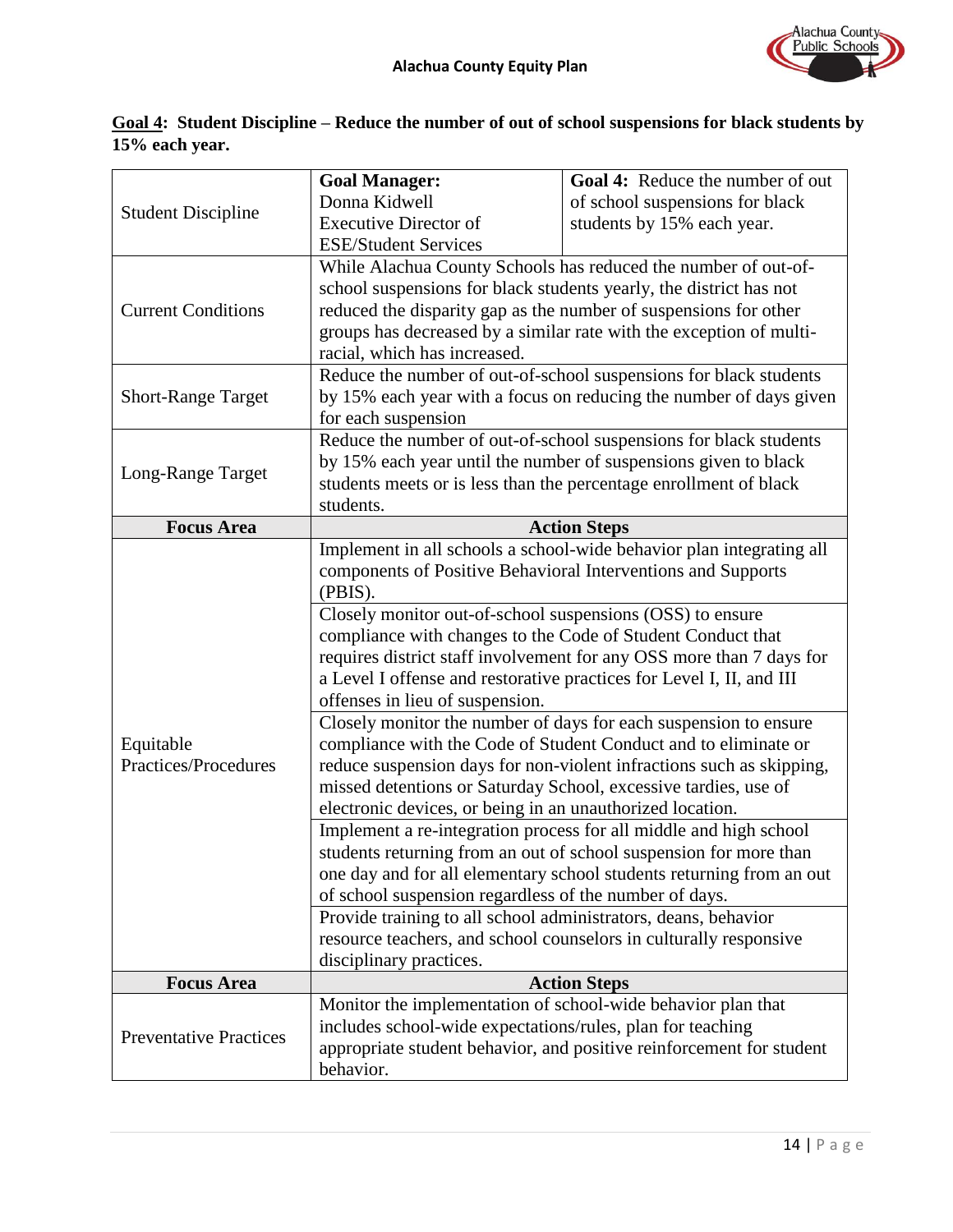

### **Goal 4: Student Discipline – Reduce the number of out of school suspensions for black students by 15% each year.**

|                                   | <b>Goal Manager:</b>                                                                                                                   | Goal 4: Reduce the number of out                                     |  |
|-----------------------------------|----------------------------------------------------------------------------------------------------------------------------------------|----------------------------------------------------------------------|--|
| <b>Student Discipline</b>         | Donna Kidwell                                                                                                                          | of school suspensions for black                                      |  |
|                                   | <b>Executive Director of</b>                                                                                                           | students by 15% each year.                                           |  |
|                                   | <b>ESE/Student Services</b>                                                                                                            |                                                                      |  |
|                                   |                                                                                                                                        | While Alachua County Schools has reduced the number of out-of-       |  |
|                                   | school suspensions for black students yearly, the district has not<br>reduced the disparity gap as the number of suspensions for other |                                                                      |  |
| <b>Current Conditions</b>         |                                                                                                                                        |                                                                      |  |
|                                   | groups has decreased by a similar rate with the exception of multi-                                                                    |                                                                      |  |
|                                   | racial, which has increased.                                                                                                           |                                                                      |  |
|                                   | Reduce the number of out-of-school suspensions for black students                                                                      |                                                                      |  |
| <b>Short-Range Target</b>         | by 15% each year with a focus on reducing the number of days given                                                                     |                                                                      |  |
|                                   | for each suspension                                                                                                                    |                                                                      |  |
|                                   |                                                                                                                                        | Reduce the number of out-of-school suspensions for black students    |  |
|                                   | by 15% each year until the number of suspensions given to black                                                                        |                                                                      |  |
| Long-Range Target                 | students meets or is less than the percentage enrollment of black                                                                      |                                                                      |  |
|                                   | students.                                                                                                                              |                                                                      |  |
| <b>Focus Area</b>                 |                                                                                                                                        | <b>Action Steps</b>                                                  |  |
|                                   |                                                                                                                                        | Implement in all schools a school-wide behavior plan integrating all |  |
|                                   | components of Positive Behavioral Interventions and Supports                                                                           |                                                                      |  |
|                                   | (PBIS).                                                                                                                                |                                                                      |  |
|                                   | Closely monitor out-of-school suspensions (OSS) to ensure                                                                              |                                                                      |  |
|                                   | compliance with changes to the Code of Student Conduct that                                                                            |                                                                      |  |
|                                   | requires district staff involvement for any OSS more than 7 days for                                                                   |                                                                      |  |
|                                   | a Level I offense and restorative practices for Level I, II, and III                                                                   |                                                                      |  |
|                                   | offenses in lieu of suspension.                                                                                                        |                                                                      |  |
|                                   |                                                                                                                                        |                                                                      |  |
|                                   | Closely monitor the number of days for each suspension to ensure                                                                       |                                                                      |  |
| Equitable<br>Practices/Procedures | compliance with the Code of Student Conduct and to eliminate or                                                                        |                                                                      |  |
|                                   | reduce suspension days for non-violent infractions such as skipping,                                                                   |                                                                      |  |
|                                   | missed detentions or Saturday School, excessive tardies, use of                                                                        |                                                                      |  |
|                                   | electronic devices, or being in an unauthorized location.                                                                              |                                                                      |  |
|                                   | Implement a re-integration process for all middle and high school                                                                      |                                                                      |  |
|                                   | students returning from an out of school suspension for more than                                                                      |                                                                      |  |
|                                   | one day and for all elementary school students returning from an out                                                                   |                                                                      |  |
|                                   | of school suspension regardless of the number of days.                                                                                 |                                                                      |  |
|                                   | Provide training to all school administrators, deans, behavior                                                                         |                                                                      |  |
|                                   | resource teachers, and school counselors in culturally responsive                                                                      |                                                                      |  |
|                                   | disciplinary practices.                                                                                                                |                                                                      |  |
| <b>Focus Area</b>                 |                                                                                                                                        | <b>Action Steps</b>                                                  |  |
|                                   | Monitor the implementation of school-wide behavior plan that                                                                           |                                                                      |  |
| <b>Preventative Practices</b>     | includes school-wide expectations/rules, plan for teaching                                                                             |                                                                      |  |
|                                   | appropriate student behavior, and positive reinforcement for student                                                                   |                                                                      |  |
|                                   | behavior.                                                                                                                              |                                                                      |  |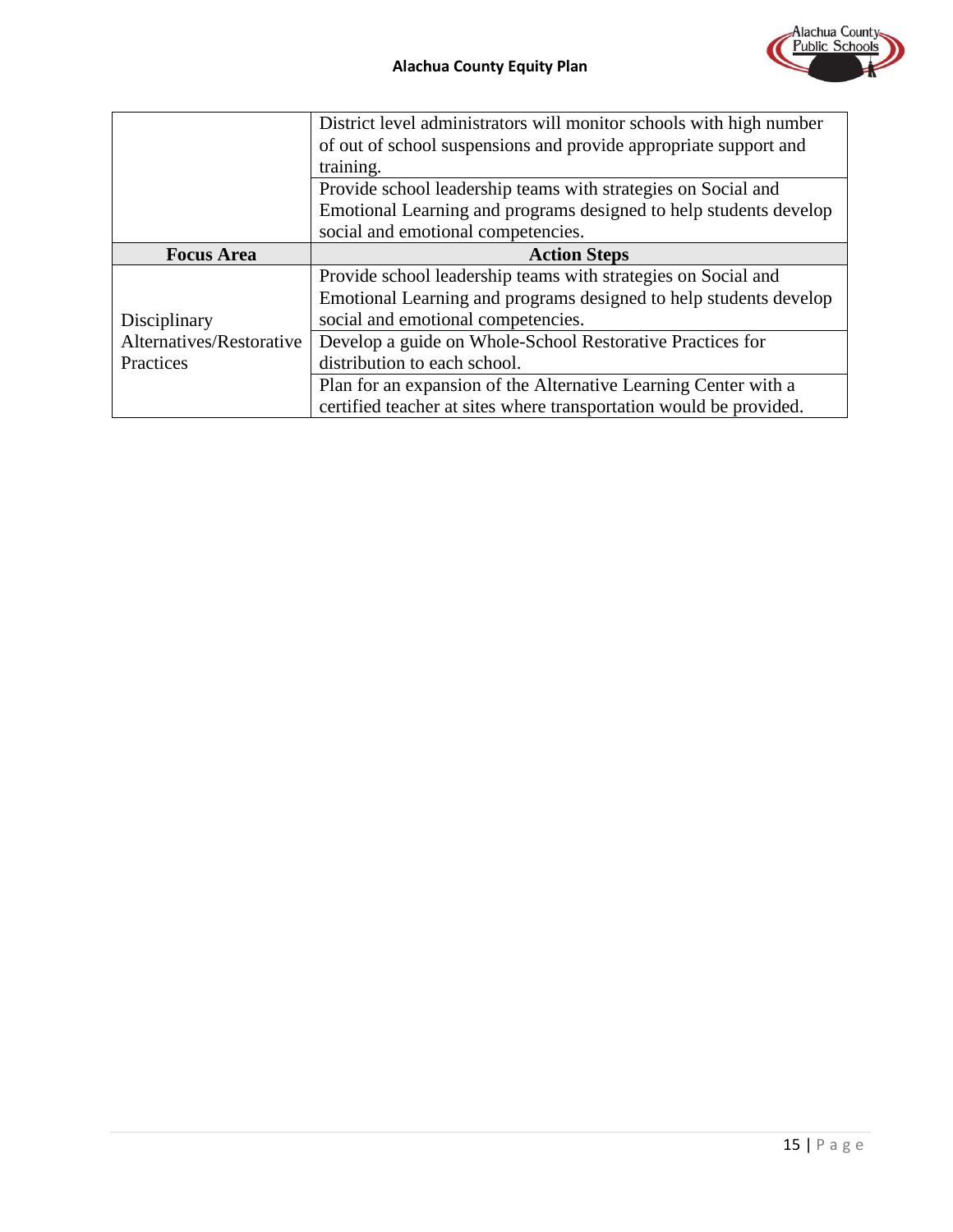|                          | District level administrators will monitor schools with high number |  |  |
|--------------------------|---------------------------------------------------------------------|--|--|
|                          | of out of school suspensions and provide appropriate support and    |  |  |
|                          | training.                                                           |  |  |
|                          | Provide school leadership teams with strategies on Social and       |  |  |
|                          | Emotional Learning and programs designed to help students develop   |  |  |
|                          | social and emotional competencies.                                  |  |  |
| <b>Focus Area</b>        | <b>Action Steps</b>                                                 |  |  |
|                          |                                                                     |  |  |
|                          | Provide school leadership teams with strategies on Social and       |  |  |
|                          | Emotional Learning and programs designed to help students develop   |  |  |
| Disciplinary             | social and emotional competencies.                                  |  |  |
| Alternatives/Restorative | Develop a guide on Whole-School Restorative Practices for           |  |  |
| Practices                | distribution to each school.                                        |  |  |
|                          | Plan for an expansion of the Alternative Learning Center with a     |  |  |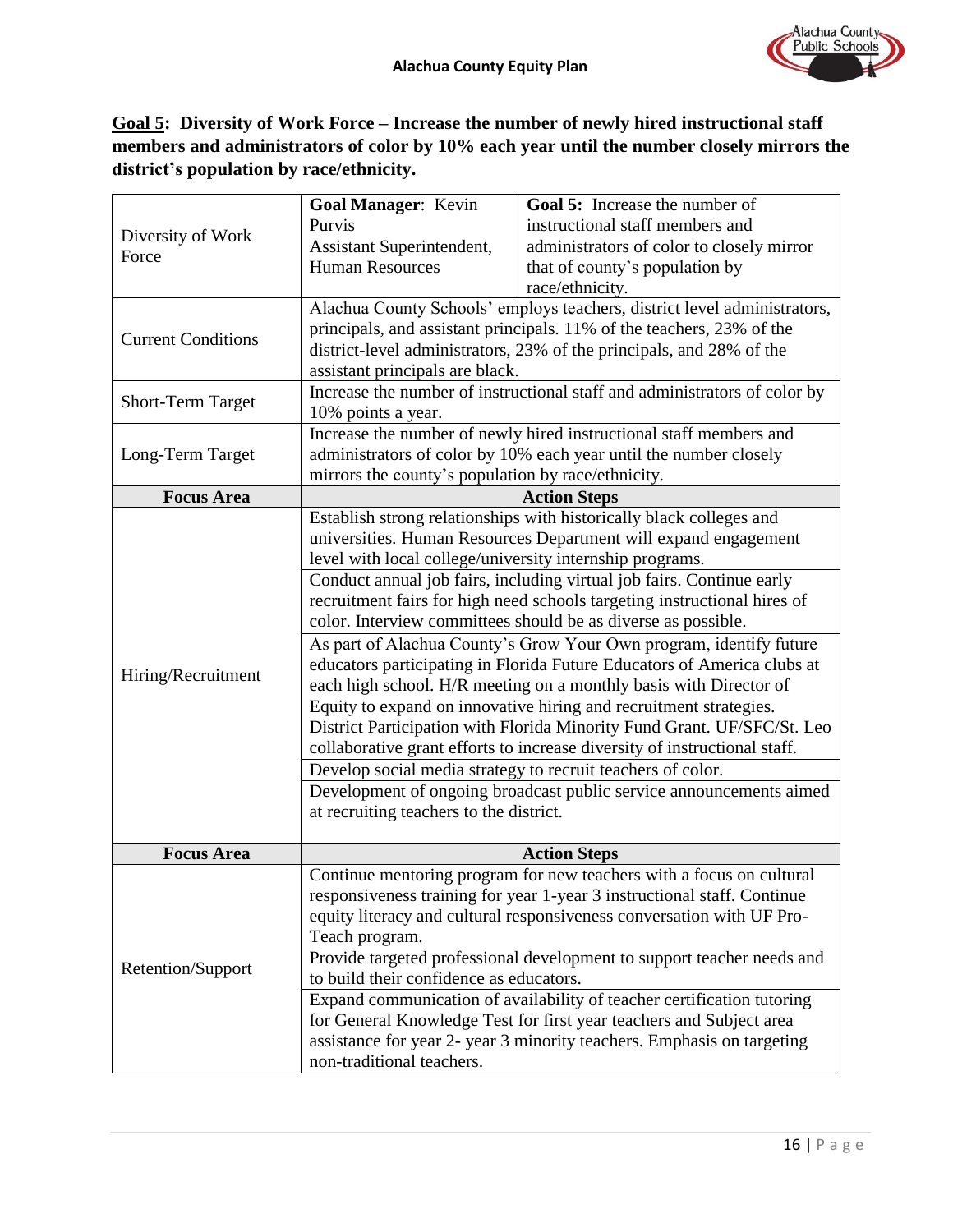

### **Goal 5: Diversity of Work Force – Increase the number of newly hired instructional staff members and administrators of color by 10% each year until the number closely mirrors the district's population by race/ethnicity.**

|                            | Goal Manager: Kevin                                                                             | <b>Goal 5:</b> Increase the number of                                 |  |  |
|----------------------------|-------------------------------------------------------------------------------------------------|-----------------------------------------------------------------------|--|--|
|                            | Purvis                                                                                          | instructional staff members and                                       |  |  |
| Diversity of Work<br>Force | Assistant Superintendent,                                                                       | administrators of color to closely mirror                             |  |  |
|                            | <b>Human Resources</b>                                                                          | that of county's population by                                        |  |  |
|                            |                                                                                                 | race/ethnicity.                                                       |  |  |
|                            | Alachua County Schools' employs teachers, district level administrators,                        |                                                                       |  |  |
| <b>Current Conditions</b>  |                                                                                                 | principals, and assistant principals. 11% of the teachers, 23% of the |  |  |
|                            |                                                                                                 | district-level administrators, 23% of the principals, and 28% of the  |  |  |
|                            | assistant principals are black.                                                                 |                                                                       |  |  |
| <b>Short-Term Target</b>   | Increase the number of instructional staff and administrators of color by<br>10% points a year. |                                                                       |  |  |
|                            |                                                                                                 |                                                                       |  |  |
|                            |                                                                                                 | Increase the number of newly hired instructional staff members and    |  |  |
| Long-Term Target           |                                                                                                 | administrators of color by 10% each year until the number closely     |  |  |
|                            | mirrors the county's population by race/ethnicity.                                              |                                                                       |  |  |
| <b>Focus Area</b>          |                                                                                                 | <b>Action Steps</b>                                                   |  |  |
|                            |                                                                                                 | Establish strong relationships with historically black colleges and   |  |  |
|                            |                                                                                                 | universities. Human Resources Department will expand engagement       |  |  |
|                            | level with local college/university internship programs.                                        |                                                                       |  |  |
|                            | Conduct annual job fairs, including virtual job fairs. Continue early                           |                                                                       |  |  |
|                            | recruitment fairs for high need schools targeting instructional hires of                        |                                                                       |  |  |
|                            |                                                                                                 | color. Interview committees should be as diverse as possible.         |  |  |
|                            | As part of Alachua County's Grow Your Own program, identify future                              |                                                                       |  |  |
| Hiring/Recruitment         | educators participating in Florida Future Educators of America clubs at                         |                                                                       |  |  |
|                            | each high school. H/R meeting on a monthly basis with Director of                               |                                                                       |  |  |
|                            | Equity to expand on innovative hiring and recruitment strategies.                               |                                                                       |  |  |
|                            | District Participation with Florida Minority Fund Grant. UF/SFC/St. Leo                         |                                                                       |  |  |
|                            | collaborative grant efforts to increase diversity of instructional staff.                       |                                                                       |  |  |
|                            | Develop social media strategy to recruit teachers of color.                                     |                                                                       |  |  |
|                            | Development of ongoing broadcast public service announcements aimed                             |                                                                       |  |  |
|                            | at recruiting teachers to the district.                                                         |                                                                       |  |  |
|                            |                                                                                                 |                                                                       |  |  |
| <b>Focus Area</b>          | <b>Action Steps</b>                                                                             |                                                                       |  |  |
|                            |                                                                                                 | Continue mentoring program for new teachers with a focus on cultural  |  |  |
|                            | responsiveness training for year 1-year 3 instructional staff. Continue                         |                                                                       |  |  |
|                            | equity literacy and cultural responsiveness conversation with UF Pro-                           |                                                                       |  |  |
|                            | Teach program.                                                                                  |                                                                       |  |  |
| Retention/Support          | Provide targeted professional development to support teacher needs and                          |                                                                       |  |  |
|                            | to build their confidence as educators.                                                         |                                                                       |  |  |
|                            | Expand communication of availability of teacher certification tutoring                          |                                                                       |  |  |
|                            | for General Knowledge Test for first year teachers and Subject area                             |                                                                       |  |  |
|                            | assistance for year 2-year 3 minority teachers. Emphasis on targeting                           |                                                                       |  |  |
|                            | non-traditional teachers.                                                                       |                                                                       |  |  |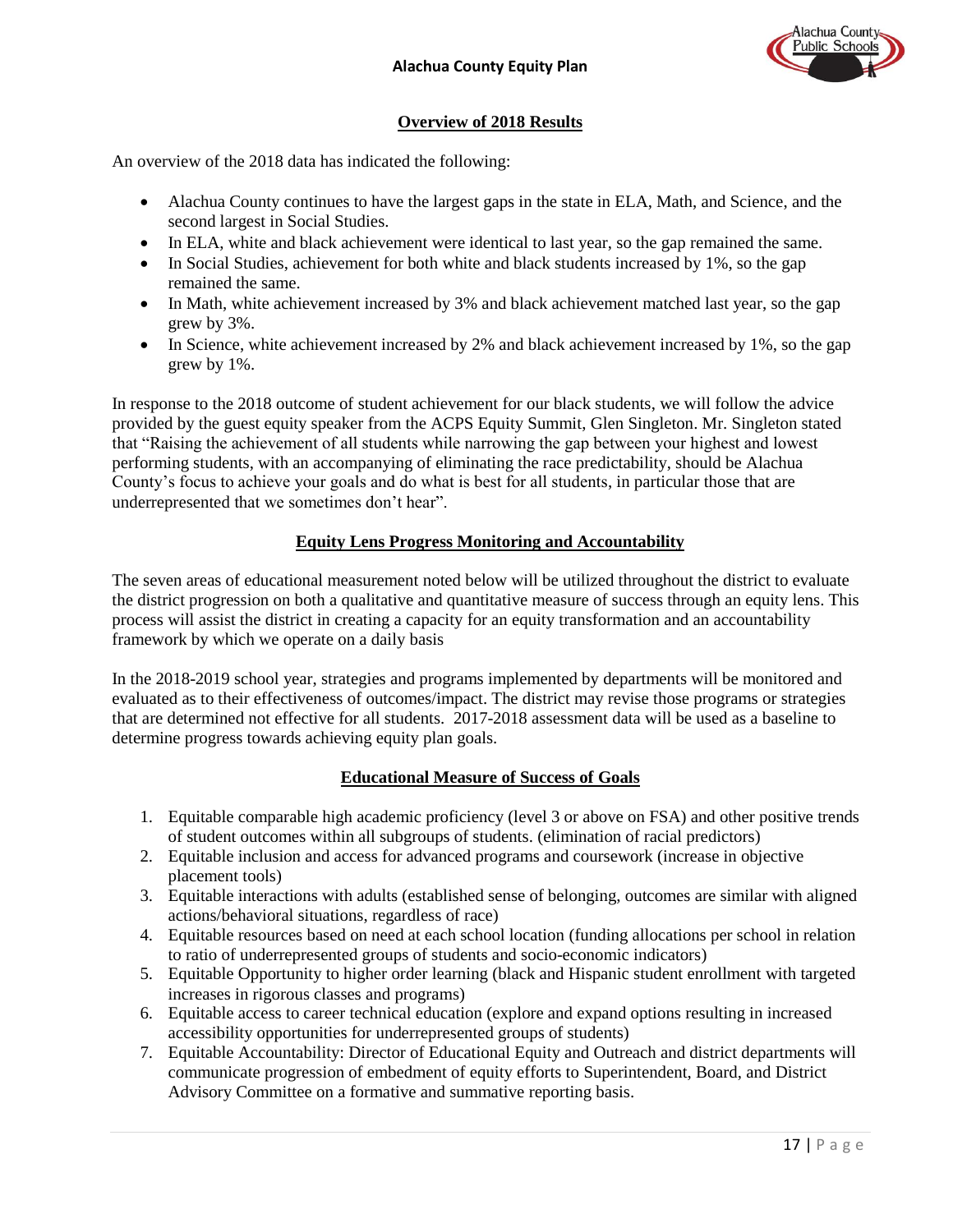

#### **Overview of 2018 Results**

An overview of the 2018 data has indicated the following:

- Alachua County continues to have the largest gaps in the state in ELA, Math, and Science, and the second largest in Social Studies.
- In ELA, white and black achievement were identical to last year, so the gap remained the same.
- In Social Studies, achievement for both white and black students increased by 1%, so the gap remained the same.
- In Math, white achievement increased by 3% and black achievement matched last year, so the gap grew by 3%.
- $\bullet$  In Science, white achievement increased by 2% and black achievement increased by 1%, so the gap grew by 1%.

In response to the 2018 outcome of student achievement for our black students, we will follow the advice provided by the guest equity speaker from the ACPS Equity Summit, Glen Singleton. Mr. Singleton stated that "Raising the achievement of all students while narrowing the gap between your highest and lowest performing students, with an accompanying of eliminating the race predictability, should be Alachua County's focus to achieve your goals and do what is best for all students, in particular those that are underrepresented that we sometimes don't hear".

#### **Equity Lens Progress Monitoring and Accountability**

The seven areas of educational measurement noted below will be utilized throughout the district to evaluate the district progression on both a qualitative and quantitative measure of success through an equity lens. This process will assist the district in creating a capacity for an equity transformation and an accountability framework by which we operate on a daily basis

In the 2018-2019 school year, strategies and programs implemented by departments will be monitored and evaluated as to their effectiveness of outcomes/impact. The district may revise those programs or strategies that are determined not effective for all students. 2017-2018 assessment data will be used as a baseline to determine progress towards achieving equity plan goals.

#### **Educational Measure of Success of Goals**

- 1. Equitable comparable high academic proficiency (level 3 or above on FSA) and other positive trends of student outcomes within all subgroups of students. (elimination of racial predictors)
- 2. Equitable inclusion and access for advanced programs and coursework (increase in objective placement tools)
- 3. Equitable interactions with adults (established sense of belonging, outcomes are similar with aligned actions/behavioral situations, regardless of race)
- 4. Equitable resources based on need at each school location (funding allocations per school in relation to ratio of underrepresented groups of students and socio-economic indicators)
- 5. Equitable Opportunity to higher order learning (black and Hispanic student enrollment with targeted increases in rigorous classes and programs)
- 6. Equitable access to career technical education (explore and expand options resulting in increased accessibility opportunities for underrepresented groups of students)
- 7. Equitable Accountability: Director of Educational Equity and Outreach and district departments will communicate progression of embedment of equity efforts to Superintendent, Board, and District Advisory Committee on a formative and summative reporting basis.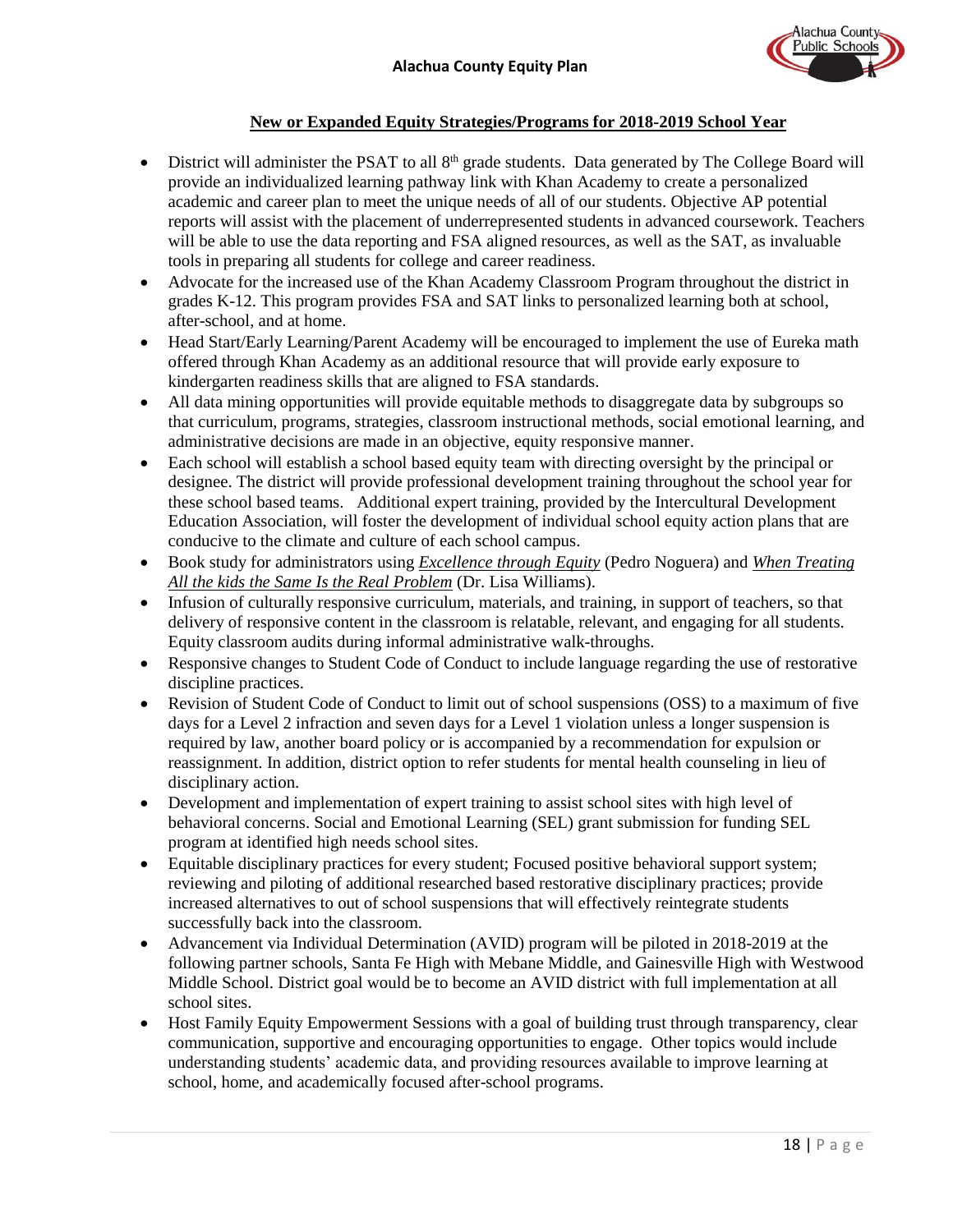

#### **New or Expanded Equity Strategies/Programs for 2018-2019 School Year**

- $\bullet$  District will administer the PSAT to all  $8<sup>th</sup>$  grade students. Data generated by The College Board will provide an individualized learning pathway link with Khan Academy to create a personalized academic and career plan to meet the unique needs of all of our students. Objective AP potential reports will assist with the placement of underrepresented students in advanced coursework. Teachers will be able to use the data reporting and FSA aligned resources, as well as the SAT, as invaluable tools in preparing all students for college and career readiness.
- Advocate for the increased use of the Khan Academy Classroom Program throughout the district in grades K-12. This program provides FSA and SAT links to personalized learning both at school, after-school, and at home.
- Head Start/Early Learning/Parent Academy will be encouraged to implement the use of Eureka math offered through Khan Academy as an additional resource that will provide early exposure to kindergarten readiness skills that are aligned to FSA standards.
- All data mining opportunities will provide equitable methods to disaggregate data by subgroups so that curriculum, programs, strategies, classroom instructional methods, social emotional learning, and administrative decisions are made in an objective, equity responsive manner.
- Each school will establish a school based equity team with directing oversight by the principal or designee. The district will provide professional development training throughout the school year for these school based teams. Additional expert training, provided by the Intercultural Development Education Association, will foster the development of individual school equity action plans that are conducive to the climate and culture of each school campus.
- Book study for administrators using *Excellence through Equity* (Pedro Noguera) and *When Treating All the kids the Same Is the Real Problem* (Dr. Lisa Williams).
- Infusion of culturally responsive curriculum, materials, and training, in support of teachers, so that delivery of responsive content in the classroom is relatable, relevant, and engaging for all students. Equity classroom audits during informal administrative walk-throughs.
- Responsive changes to Student Code of Conduct to include language regarding the use of restorative discipline practices.
- Revision of Student Code of Conduct to limit out of school suspensions (OSS) to a maximum of five days for a Level 2 infraction and seven days for a Level 1 violation unless a longer suspension is required by law, another board policy or is accompanied by a recommendation for expulsion or reassignment. In addition, district option to refer students for mental health counseling in lieu of disciplinary action.
- Development and implementation of expert training to assist school sites with high level of behavioral concerns. Social and Emotional Learning (SEL) grant submission for funding SEL program at identified high needs school sites.
- Equitable disciplinary practices for every student; Focused positive behavioral support system; reviewing and piloting of additional researched based restorative disciplinary practices; provide increased alternatives to out of school suspensions that will effectively reintegrate students successfully back into the classroom.
- Advancement via Individual Determination (AVID) program will be piloted in 2018-2019 at the following partner schools, Santa Fe High with Mebane Middle, and Gainesville High with Westwood Middle School. District goal would be to become an AVID district with full implementation at all school sites.
- Host Family Equity Empowerment Sessions with a goal of building trust through transparency, clear communication, supportive and encouraging opportunities to engage. Other topics would include understanding students' academic data, and providing resources available to improve learning at school, home, and academically focused after-school programs.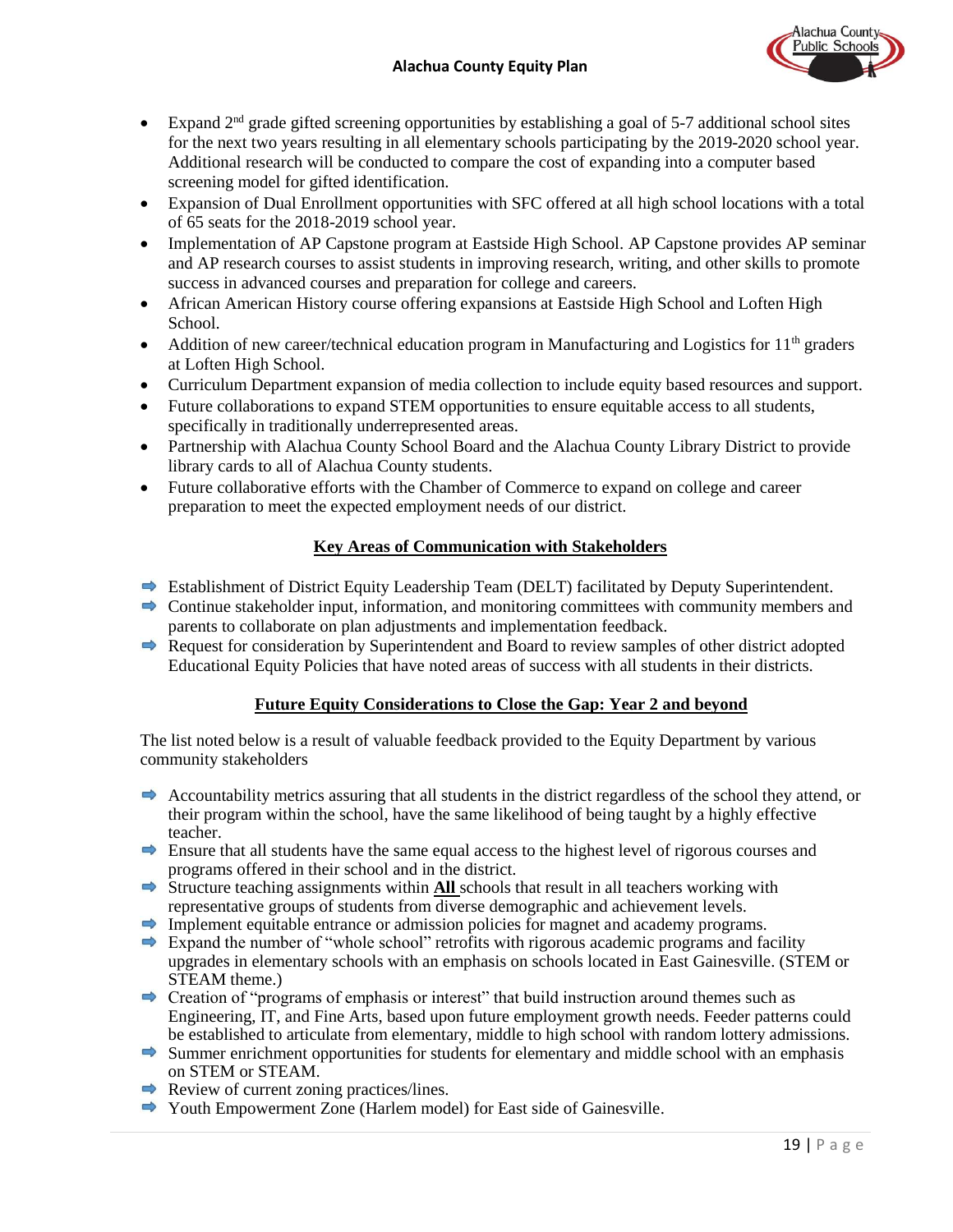

- Expand  $2<sup>nd</sup>$  grade gifted screening opportunities by establishing a goal of 5-7 additional school sites for the next two years resulting in all elementary schools participating by the 2019-2020 school year. Additional research will be conducted to compare the cost of expanding into a computer based screening model for gifted identification.
- Expansion of Dual Enrollment opportunities with SFC offered at all high school locations with a total of 65 seats for the 2018-2019 school year.
- Implementation of AP Capstone program at Eastside High School. AP Capstone provides AP seminar and AP research courses to assist students in improving research, writing, and other skills to promote success in advanced courses and preparation for college and careers.
- African American History course offering expansions at Eastside High School and Loften High School.
- Addition of new career/technical education program in Manufacturing and Logistics for  $11<sup>th</sup>$  graders at Loften High School.
- Curriculum Department expansion of media collection to include equity based resources and support.
- Future collaborations to expand STEM opportunities to ensure equitable access to all students, specifically in traditionally underrepresented areas.
- Partnership with Alachua County School Board and the Alachua County Library District to provide library cards to all of Alachua County students.
- Future collaborative efforts with the Chamber of Commerce to expand on college and career preparation to meet the expected employment needs of our district.

#### **Key Areas of Communication with Stakeholders**

- $\Rightarrow$  Establishment of District Equity Leadership Team (DELT) facilitated by Deputy Superintendent.
- $\Rightarrow$  Continue stakeholder input, information, and monitoring committees with community members and parents to collaborate on plan adjustments and implementation feedback.
- $\Rightarrow$  Request for consideration by Superintendent and Board to review samples of other district adopted Educational Equity Policies that have noted areas of success with all students in their districts.

### **Future Equity Considerations to Close the Gap: Year 2 and beyond**

The list noted below is a result of valuable feedback provided to the Equity Department by various community stakeholders

- $\Rightarrow$  Accountability metrics assuring that all students in the district regardless of the school they attend, or their program within the school, have the same likelihood of being taught by a highly effective teacher.
- $\Rightarrow$  Ensure that all students have the same equal access to the highest level of rigorous courses and programs offered in their school and in the district.
- Structure teaching assignments within **All** schools that result in all teachers working with representative groups of students from diverse demographic and achievement levels.
- $\Rightarrow$  Implement equitable entrance or admission policies for magnet and academy programs.
- $\Rightarrow$  Expand the number of "whole school" retrofits with rigorous academic programs and facility upgrades in elementary schools with an emphasis on schools located in East Gainesville. (STEM or STEAM theme.)
- $\Rightarrow$  Creation of "programs of emphasis or interest" that build instruction around themes such as Engineering, IT, and Fine Arts, based upon future employment growth needs. Feeder patterns could be established to articulate from elementary, middle to high school with random lottery admissions.
- $\Rightarrow$  Summer enrichment opportunities for students for elementary and middle school with an emphasis on STEM or STEAM.
- $\rightarrow$  Review of current zoning practices/lines.
- **→** Youth Empowerment Zone (Harlem model) for East side of Gainesville.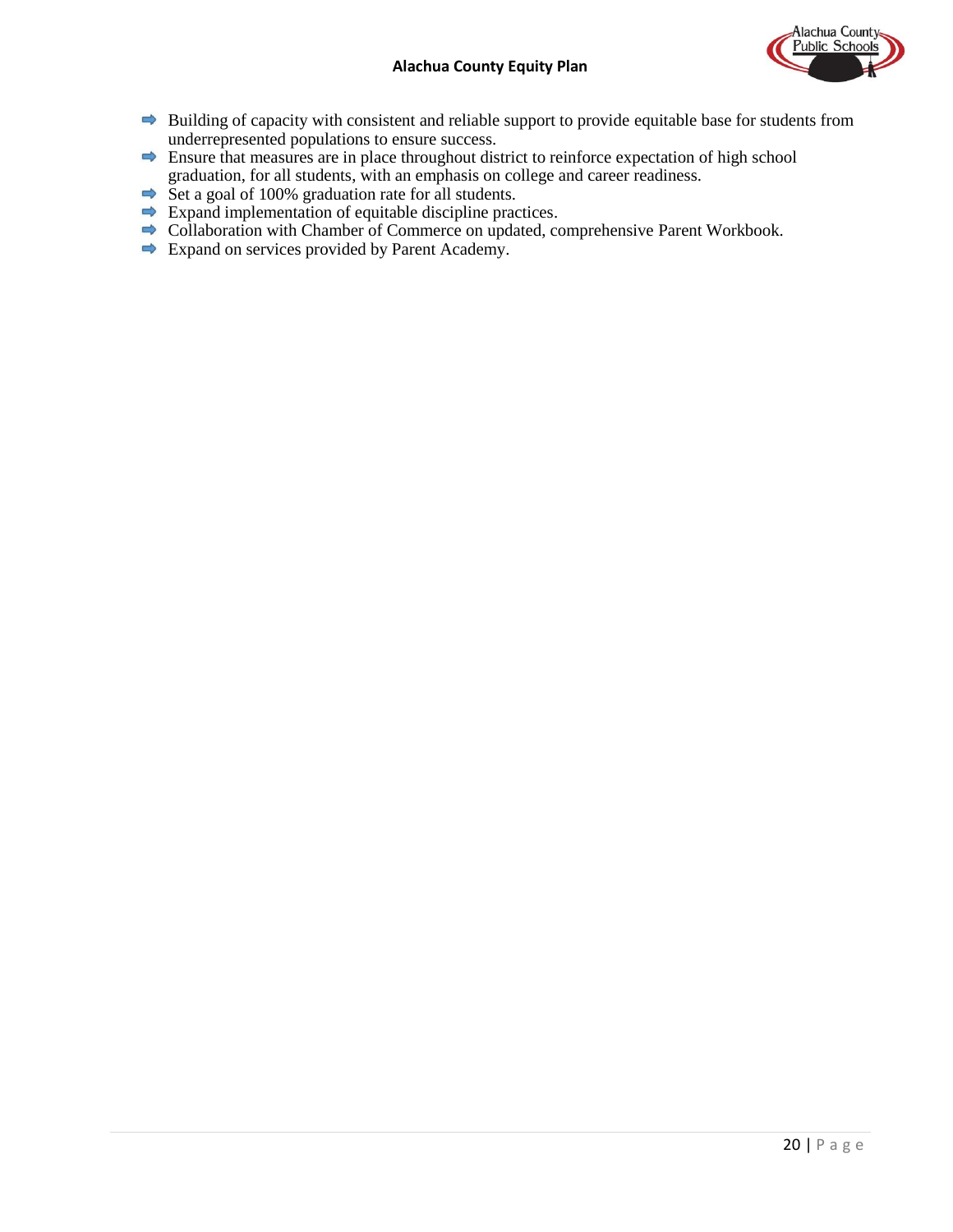

- $\Rightarrow$  Building of capacity with consistent and reliable support to provide equitable base for students from underrepresented populations to ensure success.
- $\Rightarrow$  Ensure that measures are in place throughout district to reinforce expectation of high school graduation, for all students, with an emphasis on college and career readiness.
- Set a goal of 100% graduation rate for all students.
- $\Rightarrow$  Expand implementation of equitable discipline practices.
- $\Rightarrow$  Collaboration with Chamber of Commerce on updated, comprehensive Parent Workbook.
- $\Rightarrow$  Expand on services provided by Parent Academy.